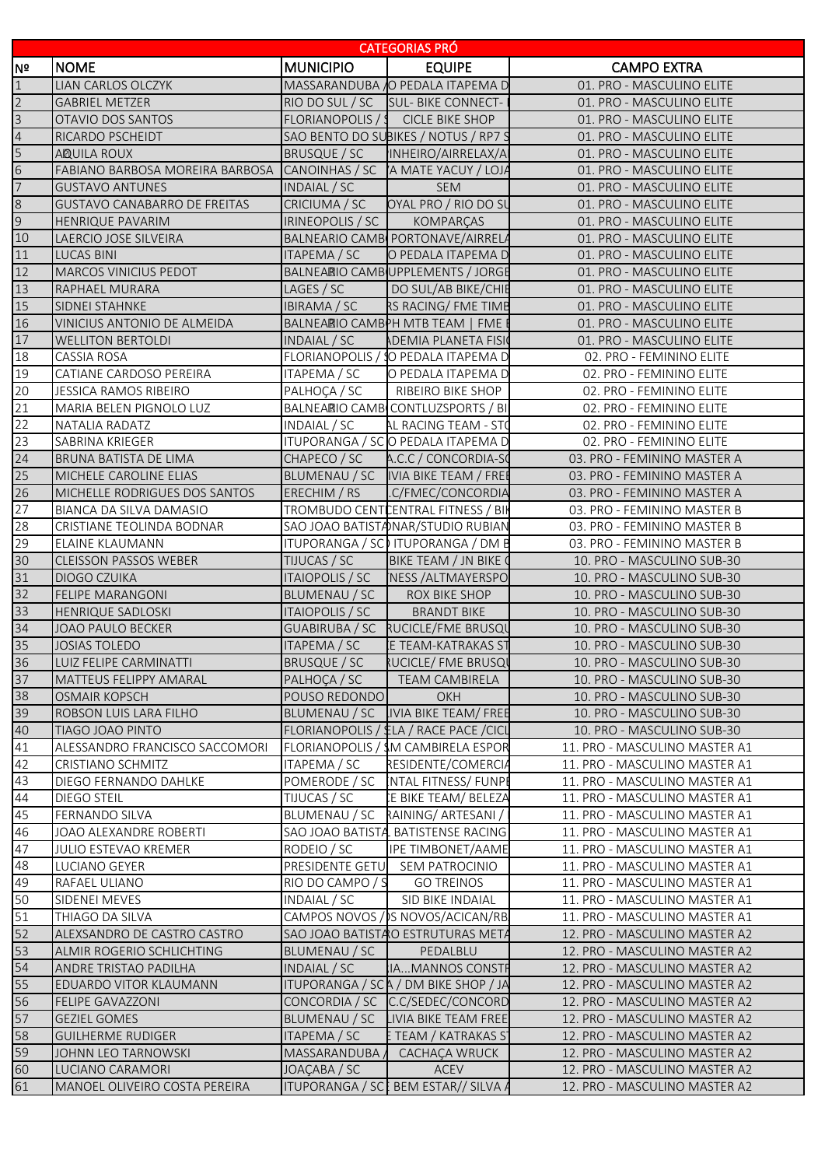|                |                                                                    |                        | <b>CATEGORIAS PRO</b>                         |                               |
|----------------|--------------------------------------------------------------------|------------------------|-----------------------------------------------|-------------------------------|
| INº            | <b>NOME</b>                                                        | <b>MUNICIPIO</b>       | <b>EQUIPE</b>                                 | <b>CAMPO EXTRA</b>            |
| $\vert$ 1      | LIAN CARLOS OLCZYK                                                 |                        | MASSARANDUBA O PEDALA ITAPEMA D               | 01. PRO - MASCULINO ELITE     |
| $\overline{2}$ | <b>GABRIEL METZER</b>                                              |                        | RIO DO SUL / SC SUL- BIKE CONNECT-1           | 01. PRO - MASCULINO ELITE     |
| $\overline{3}$ | OTAVIO DOS SANTOS                                                  |                        | FLORIANOPOLIS / SCICLE BIKE SHOP              | 01. PRO - MASCULINO ELITE     |
|                | RICARDO PSCHEIDT                                                   |                        | SAO BENTO DO SUBIKES / NOTUS / RP7 S          | 01. PRO - MASCULINO ELITE     |
|                | <b>AQUILA ROUX</b>                                                 | <b>BRUSQUE / SC</b>    | INHEIRO/AIRRELAX/A                            | 01. PRO - MASCULINO ELITE     |
|                | FABIANO BARBOSA MOREIRA BARBOSA CANOINHAS / SC A MATE YACUY / LOJA |                        |                                               | 01. PRO - MASCULINO ELITE     |
|                | <b>GUSTAVO ANTUNES</b>                                             | INDAIAL / SC           | <b>SEM</b>                                    | 01. PRO - MASCULINO ELITE     |
|                | <b>GUSTAVO CANABARRO DE FREITAS</b>                                | CRICIUMA / SC          | OYAL PRO / RIO DO SU                          | 01. PRO - MASCULINO ELITE     |
|                | HENRIQUE PAVARIM                                                   | IRINEOPOLIS / SC       | KOMPARÇAS                                     | 01. PRO - MASCULINO ELITE     |
|                | LAERCIO JOSE SILVEIRA                                              |                        | BALNEARIO CAMB PORTONAVE/AIRRELA              | 01. PRO - MASCULINO ELITE     |
|                | LUCAS BINI                                                         | ITAPEMA / SC           | O PEDALA ITAPEMA D                            | 01. PRO - MASCULINO ELITE     |
|                | <b>MARCOS VINICIUS PEDOT</b>                                       |                        | BALNEARIO CAMB UPPLEMENTS / JORGE             | 01. PRO - MASCULINO ELITE     |
|                | RAPHAEL MURARA                                                     | LAGES / SC             | DO SUL/AB BIKE/CHIE                           | 01. PRO - MASCULINO ELITE     |
|                | SIDNEI STAHNKE                                                     | <b>IBIRAMA / SC</b>    | RS RACING/ FME TIME                           | 01. PRO - MASCULINO ELITE     |
|                | VINICIUS ANTONIO DE ALMEIDA                                        |                        | BALNEARIO CAMBPH MTB TEAM   FME I             | 01. PRO - MASCULINO ELITE     |
|                | <b>WELLITON BERTOLDI</b>                                           | INDAIAL / SC           | <b>ADEMIA PLANETA FISIO</b>                   | 01. PRO - MASCULINO ELITE     |
|                | <b>CASSIA ROSA</b>                                                 |                        | FLORIANOPOLIS / SO PEDALA ITAPEMA D           | 02. PRO - FEMININO ELITE      |
|                | CATIANE CARDOSO PEREIRA                                            | ITAPEMA / SC           | O PEDALA ITAPEMA D                            | 02. PRO - FEMININO ELITE      |
|                | JESSICA RAMOS RIBEIRO                                              | PALHOÇA / SC           | RIBEIRO BIKE SHOP                             | 02. PRO - FEMININO ELITE      |
|                | MARIA BELEN PIGNOLO LUZ                                            |                        | BALNEARIO CAMB CONTLUZSPORTS / BI             | 02. PRO - FEMININO ELITE      |
|                | NATALIA RADATZ                                                     | INDAIAL / SC           | AL RACING TEAM - STO                          | 02. PRO - FEMININO ELITE      |
|                | SABRINA KRIEGER                                                    |                        | ITUPORANGA / SCO PEDALA ITAPEMA D             | 02. PRO - FEMININO ELITE      |
|                | BRUNA BATISTA DE LIMA                                              | CHAPECO / SC           | A.C.C / CONCORDIA-SO                          | 03. PRO - FEMININO MASTER A   |
|                | <b>MICHELE CAROLINE ELIAS</b>                                      |                        | BLUMENAU / SC   IVIA BIKE TEAM / FREE         | 03. PRO - FEMININO MASTER A   |
|                | MICHELLE RODRIGUES DOS SANTOS                                      | ERECHIM / RS           | .C/FMEC/CONCORDIA                             | 03. PRO - FEMININO MASTER A   |
|                | BIANCA DA SILVA DAMASIO                                            |                        | TROMBUDO CENTICENTRAL FITNESS / BIK           | 03. PRO - FEMININO MASTER B   |
|                | CRISTIANE TEOLINDA BODNAR                                          |                        | SAO JOAO BATISTANAR/STUDIO RUBIAN             | 03. PRO - FEMININO MASTER B   |
|                | ELAINE KLAUMANN                                                    |                        | ITUPORANGA / SC ITUPORANGA / DM B             | 03. PRO - FEMININO MASTER B   |
|                | <b>CLEISSON PASSOS WEBER</b>                                       | TIJUCAS / SC           | BIKE TEAM / JN BIKE 0                         | 10. PRO - MASCULINO SUB-30    |
|                | DIOGO CZUIKA                                                       | <b>ITAIOPOLIS / SC</b> | <b>NESS / ALTMAYERSPO</b>                     | 10. PRO - MASCULINO SUB-30    |
|                | <b>FELIPE MARANGONI</b>                                            | BLUMENAU / SC          | ROX BIKE SHOP                                 | 10. PRO - MASCULINO SUB-30    |
|                | <b>HENRIQUE SADLOSKI</b>                                           | <b>ITAIOPOLIS / SC</b> | <b>BRANDT BIKE</b>                            | 10. PRO - MASCULINO SUB-30    |
|                | JOAO PAULO BECKER                                                  |                        | GUABIRUBA / SC RUCICLE/FME BRUSQU             | 10. PRO - MASCULINO SUB-30    |
|                | <b>JOSIAS TOLEDO</b>                                               | <b>ITAPEMA / SC</b>    | <b>E TEAM-KATRAKAS ST</b>                     | 10. PRO - MASCULINO SUB-30    |
|                | LUIZ FELIPE CARMINATTI                                             | <b>BRUSQUE / SC</b>    | <b>RUCICLE/ FME BRUSQU</b>                    | 10. PRO - MASCULINO SUB-30    |
|                | <b>MATTEUS FELIPPY AMARAL</b>                                      | PALHOÇA / SC           | <b>TEAM CAMBIRELA</b>                         | 10. PRO - MASCULINO SUB-30    |
|                | <b>OSMAIR KOPSCH</b>                                               | POUSO REDONDO          | OKH                                           | 10. PRO - MASCULINO SUB-30    |
|                | ROBSON LUIS LARA FILHO                                             | BLUMENAU / SC          | IVIA BIKE TEAM/ FREE                          | 10. PRO - MASCULINO SUB-30    |
|                | TIAGO JOAO PINTO                                                   |                        | FLORIANOPOLIS / £LA / RACE PACE / CICL        | 10. PRO - MASCULINO SUB-30    |
|                | ALESSANDRO FRANCISCO SACCOMORI                                     |                        | FLORIANOPOLIS / SM CAMBIRELA ESPOR            | 11. PRO - MASCULINO MASTER A1 |
|                | CRISTIANO SCHMITZ                                                  | ITAPEMA / SC           | RESIDENTE/COMERCIA                            | 11. PRO - MASCULINO MASTER A1 |
|                | DIEGO FERNANDO DAHLKE                                              | POMERODE / SC          | INTAL FITNESS/ FUNPI                          | 11. PRO - MASCULINO MASTER A1 |
|                | DIEGO STEIL                                                        | TIJUCAS / SC           | E BIKE TEAM/ BELEZA                           | 11. PRO - MASCULINO MASTER A1 |
|                | FERNANDO SILVA                                                     | BLUMENAU / SC          | RAINING/ARTESANI /                            | 11. PRO - MASCULINO MASTER A1 |
|                | JOAO ALEXANDRE ROBERTI                                             |                        | SAO JOAO BATISTA BATISTENSE RACING            | 11. PRO - MASCULINO MASTER A1 |
|                | <b>JULIO ESTEVAO KREMER</b>                                        | RODEIO / SC            | IPE TIMBONET/AAME                             | 11. PRO - MASCULINO MASTER A1 |
|                | LUCIANO GEYER                                                      |                        | PRESIDENTE GETU SEM PATROCINIO                | 11. PRO - MASCULINO MASTER A1 |
|                | RAFAEL ULIANO                                                      | RIO DO CAMPO / S       | <b>GO TREINOS</b>                             | 11. PRO - MASCULINO MASTER A1 |
|                | SIDENEI MEVES                                                      | INDAIAL / SC           | SID BIKE INDAIAL                              | 11. PRO - MASCULINO MASTER A1 |
|                | THIAGO DA SILVA                                                    |                        | CAMPOS NOVOS / S NOVOS/ACICAN/RB              | 11. PRO - MASCULINO MASTER A1 |
|                |                                                                    |                        |                                               |                               |
|                | ALEXSANDRO DE CASTRO CASTRO                                        | BLUMENAU / SC          | SAO JOAO BATISTAO ESTRUTURAS META<br>PEDALBLU | 12. PRO - MASCULINO MASTER A2 |
|                | ALMIR ROGERIO SCHLICHTING                                          |                        |                                               | 12. PRO - MASCULINO MASTER A2 |
|                | ANDRE TRISTAO PADILHA<br>EDUARDO VITOR KLAUMANN                    | INDAIAL / SC           | IAMANNOS CONSTF                               | 12. PRO - MASCULINO MASTER A2 |
|                |                                                                    |                        | ITUPORANGA / SC A / DM BIKE SHOP / JA         | 12. PRO - MASCULINO MASTER A2 |
|                | FELIPE GAVAZZONI                                                   |                        | CONCORDIA / SC C.C/SEDEC/CONCORD              | 12. PRO - MASCULINO MASTER A2 |
|                | <b>GEZIEL GOMES</b>                                                |                        | BLUMENAU / SC LIVIA BIKE TEAM FREE            | 12. PRO - MASCULINO MASTER A2 |
|                | <b>GUILHERME RUDIGER</b>                                           | <b>ITAPEMA / SC</b>    | E TEAM / KATRAKAS S1                          | 12. PRO - MASCULINO MASTER A2 |
|                | <b>JOHNN LEO TARNOWSKI</b>                                         | MASSARANDUBA /         | CACHAÇA WRUCK                                 | 12. PRO - MASCULINO MASTER A2 |
|                | LUCIANO CARAMORI                                                   | JOAÇABA / SC           | ACEV                                          | 12. PRO - MASCULINO MASTER A2 |
|                | MANOEL OLIVEIRO COSTA PEREIRA                                      |                        | ITUPORANGA / SCE BEM ESTAR// SILVA A          | 12. PRO - MASCULINO MASTER A2 |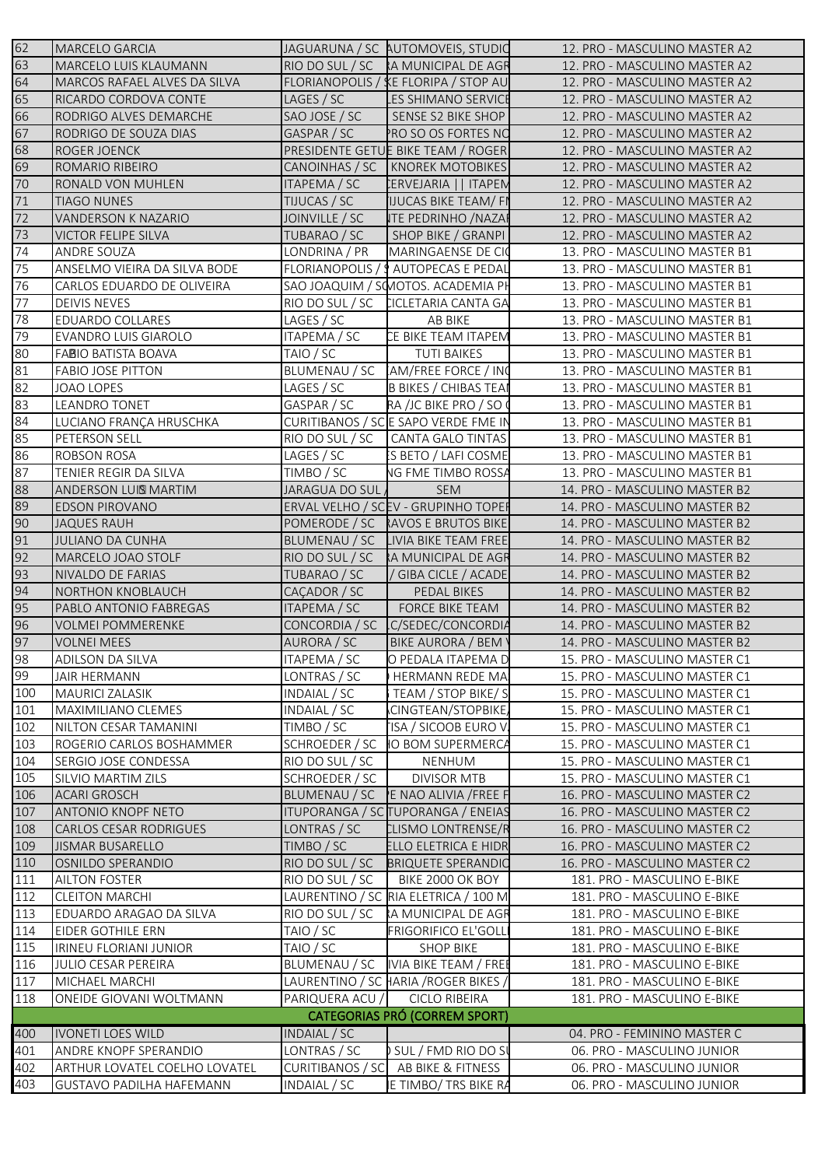| 62  | MARCELO GARCIA                       |                         | JAGUARUNA / SC AUTOMOVEIS, STUDIO    | 12. PRO - MASCULINO MASTER A2                                  |
|-----|--------------------------------------|-------------------------|--------------------------------------|----------------------------------------------------------------|
| 63  | <b>MARCELO LUIS KLAUMANN</b>         |                         | RIO DO SUL / SC RA MUNICIPAL DE AGR  | 12. PRO - MASCULINO MASTER A2                                  |
| 64  | <b>MARCOS RAFAEL ALVES DA SILVA</b>  |                         | FLORIANOPOLIS / KE FLORIPA / STOP AU | 12. PRO - MASCULINO MASTER A2                                  |
| 65  | RICARDO CORDOVA CONTE                | LAGES / SC              | <b>LES SHIMANO SERVICE</b>           | 12. PRO - MASCULINO MASTER A2                                  |
| 66  | RODRIGO ALVES DEMARCHE               | SAO JOSE / SC           | SENSE S2 BIKE SHOP                   | 12. PRO - MASCULINO MASTER A2                                  |
| 67  | RODRIGO DE SOUZA DIAS                | GASPAR / SC             | PRO SO OS FORTES NO                  | 12. PRO - MASCULINO MASTER A2                                  |
| 68  | <b>ROGER JOENCK</b>                  |                         | PRESIDENTE GETUE BIKE TEAM / ROGER   | 12. PRO - MASCULINO MASTER A2                                  |
| 69  | ROMARIO RIBEIRO                      |                         | CANOINHAS / SC   KNOREK MOTOBIKES    | 12. PRO - MASCULINO MASTER A2                                  |
| 70  | RONALD VON MUHLEN                    | <b>ITAPEMA / SC</b>     | CERVEJARIA    ITAPEN                 | 12. PRO - MASCULINO MASTER A2                                  |
| 71  | <b>TIAGO NUNES</b>                   | TIJUCAS / SC            | <b>IJUCAS BIKE TEAM/FI</b>           | 12. PRO - MASCULINO MASTER A2                                  |
| 72  | VANDERSON K NAZARIO                  | JOINVILLE / SC          | <b>ITE PEDRINHO / NAZAI</b>          | 12. PRO - MASCULINO MASTER A2                                  |
| 73  | <b>VICTOR FELIPE SILVA</b>           | TUBARAO / SC            | SHOP BIKE / GRANPI                   | 12. PRO - MASCULINO MASTER A2                                  |
| 74  | ANDRE SOUZA                          | LONDRINA / PR           | MARINGAENSE DE CIO                   | 13. PRO - MASCULINO MASTER B1                                  |
| 75  | ANSELMO VIEIRA DA SILVA BODE         |                         | FLORIANOPOLIS / 9 AUTOPECAS E PEDAL  | 13. PRO - MASCULINO MASTER B1                                  |
| 76  | CARLOS EDUARDO DE OLIVEIRA           |                         | SAO JOAQUIM / SCMOTOS. ACADEMIA PH   | 13. PRO - MASCULINO MASTER B1                                  |
| 77  | <b>DEIVIS NEVES</b>                  |                         | RIO DO SUL / SC CICLETARIA CANTA GA  | 13. PRO - MASCULINO MASTER B1                                  |
| 78  | EDUARDO COLLARES                     | LAGES / SC              | AB BIKE                              | 13. PRO - MASCULINO MASTER B1                                  |
| 79  | <b>EVANDRO LUIS GIAROLO</b>          | ITAPEMA / SC            | CE BIKE TEAM ITAPEM                  | 13. PRO - MASCULINO MASTER B1                                  |
| 80  | <b>FABIO BATISTA BOAVA</b>           | TAIO / SC               | <b>TUTI BAIKES</b>                   | 13. PRO - MASCULINO MASTER B1                                  |
| 81  | <b>FABIO JOSE PITTON</b>             |                         | BLUMENAU / SC AM/FREE FORCE / INC    | 13. PRO - MASCULINO MASTER B1                                  |
| 82  | JOAO LOPES                           | LAGES / SC              | <b>B BIKES / CHIBAS TEAI</b>         | 13. PRO - MASCULINO MASTER B1                                  |
| 83  | LEANDRO TONET                        | GASPAR / SC             | RA /JC BIKE PRO / SO (               | 13. PRO - MASCULINO MASTER B1                                  |
| 84  | LUCIANO FRANÇA HRUSCHKA              |                         | CURITIBANOS / SCE SAPO VERDE FME IN  | 13. PRO - MASCULINO MASTER B1                                  |
| 85  | PETERSON SELL                        |                         | RIO DO SUL / SC   CANTA GALO TINTAS  | 13. PRO - MASCULINO MASTER B1                                  |
| 86  | <b>ROBSON ROSA</b>                   | LAGES / SC              | S BETO / LAFI COSME                  | 13. PRO - MASCULINO MASTER B1                                  |
| 87  | TENIER REGIR DA SILVA                | TIMBO / SC              | <b>NG FME TIMBO ROSSA</b>            | 13. PRO - MASCULINO MASTER B1                                  |
| 88  | <b>ANDERSON LUIS MARTIM</b>          | JARAGUA DO SUL /        | <b>SEM</b>                           | 14. PRO - MASCULINO MASTER B2                                  |
| 89  | <b>EDSON PIROVANO</b>                |                         | ERVAL VELHO / SCEV - GRUPINHO TOPER  | 14. PRO - MASCULINO MASTER B2                                  |
| 90  | <b>JAQUES RAUH</b>                   |                         | POMERODE / SC RAVOS E BRUTOS BIKE    |                                                                |
| 91  | JULIANO DA CUNHA                     |                         | BLUMENAU / SC LIVIA BIKE TEAM FREE   | 14. PRO - MASCULINO MASTER B2<br>14. PRO - MASCULINO MASTER B2 |
| 92  |                                      | RIO DO SUL / SC         |                                      |                                                                |
| 93  | MARCELO JOAO STOLF                   |                         | RA MUNICIPAL DE AGR                  | 14. PRO - MASCULINO MASTER B2                                  |
|     | NIVALDO DE FARIAS                    | TUBARAO / SC            | / GIBA CICLE / ACADE                 | 14. PRO - MASCULINO MASTER B2                                  |
| 94  | <b>NORTHON KNOBLAUCH</b>             | CAÇADOR / SC            | PEDAL BIKES                          | 14. PRO - MASCULINO MASTER B2                                  |
| 95  | PABLO ANTONIO FABREGAS               | ITAPEMA / SC            | FORCE BIKE TEAM                      | 14. PRO - MASCULINO MASTER B2                                  |
| 96  | <b>VOLMEI POMMERENKE</b>             |                         | CONCORDIA / SC C/SEDEC/CONCORDIA     | 14. PRO - MASCULINO MASTER B2                                  |
| 97  | <b>VOLNEI MEES</b>                   | AURORA / SC             | BIKE AURORA / BEM \                  | 14. PRO - MASCULINO MASTER B2                                  |
| 98  | <b>ADILSON DA SILVA</b>              | ITAPEMA / SC            | O PEDALA ITAPEMA D                   | 15. PRO - MASCULINO MASTER C1                                  |
| 99  | <b>JAIR HERMANN</b>                  | LONTRAS / SC            | <b>HERMANN REDE MA</b>               | 15. PRO - MASCULINO MASTER C1                                  |
| 100 | <b>MAURICI ZALASIK</b>               | INDAIAL / SC            | TEAM / STOP BIKE/S                   | 15. PRO - MASCULINO MASTER C1                                  |
| 101 | MAXIMILIANO CLEMES                   | INDAIAL / SC            | CINGTEAN/STOPBIKE,                   | 15. PRO - MASCULINO MASTER C1                                  |
| 102 | NILTON CESAR TAMANINI                | TIMBO / SC              | ISA / SICOOB EURO V.                 | 15. PRO - MASCULINO MASTER C1                                  |
| 103 | ROGERIO CARLOS BOSHAMMER             | SCHROEDER / SC          | <b>IO BOM SUPERMERCA</b>             | 15. PRO - MASCULINO MASTER C1                                  |
| 104 | SERGIO JOSE CONDESSA                 | RIO DO SUL / SC         | NENHUM                               | 15. PRO - MASCULINO MASTER C1                                  |
| 105 | SILVIO MARTIM ZILS                   | SCHROEDER / SC          | <b>DIVISOR MTB</b>                   | 15. PRO - MASCULINO MASTER C1                                  |
| 106 | <b>ACARI GROSCH</b>                  | BLUMENAU / SC           | E NAO ALIVIA / FREE F                | 16. PRO - MASCULINO MASTER C2                                  |
| 107 | <b>ANTONIO KNOPF NETO</b>            |                         | ITUPORANGA / SC TUPORANGA / ENEIAS   | 16. PRO - MASCULINO MASTER C2                                  |
| 108 | <b>CARLOS CESAR RODRIGUES</b>        | LONTRAS / SC            | <b>CLISMO LONTRENSE/R</b>            | 16. PRO - MASCULINO MASTER C2                                  |
| 109 | <b>JISMAR BUSARELLO</b>              | TIMBO / SC              | ELLO ELETRICA E HIDR                 | 16. PRO - MASCULINO MASTER C2                                  |
| 110 | OSNILDO SPERANDIO                    | RIO DO SUL / SC         | <b>BRIQUETE SPERANDIC</b>            | 16. PRO - MASCULINO MASTER C2                                  |
| 111 | <b>AILTON FOSTER</b>                 | RIO DO SUL / SC         | BIKE 2000 OK BOY                     | 181. PRO - MASCULINO E-BIKE                                    |
| 112 | <b>CLEITON MARCHI</b>                |                         | LAURENTINO / SC RIA ELETRICA / 100 M | 181. PRO - MASCULINO E-BIKE                                    |
| 113 | EDUARDO ARAGAO DA SILVA              | RIO DO SUL / SC         | RA MUNICIPAL DE AGR                  | 181. PRO - MASCULINO E-BIKE                                    |
| 114 | EIDER GOTHILE ERN                    | TAIO / SC               | <b>FRIGORIFICO EL'GOLL</b>           | 181. PRO - MASCULINO E-BIKE                                    |
| 115 | IRINEU FLORIANI JUNIOR               | TAIO / SC               | <b>SHOP BIKE</b>                     | 181. PRO - MASCULINO E-BIKE                                    |
| 116 | JULIO CESAR PEREIRA                  | BLUMENAU / SC           | IVIA BIKE TEAM / FREI                | 181. PRO - MASCULINO E-BIKE                                    |
| 117 | MICHAEL MARCHI                       |                         | LAURENTINO / SC HARIA /ROGER BIKES / | 181. PRO - MASCULINO E-BIKE                                    |
| 118 | ONEIDE GIOVANI WOLTMANN              | PARIQUERA ACU /         | <b>CICLO RIBEIRA</b>                 | 181. PRO - MASCULINO E-BIKE                                    |
|     |                                      |                         | <b>CATEGORIAS PRÓ (CORREM SPORT)</b> |                                                                |
| 400 | <b>IVONETI LOES WILD</b>             | INDAIAL / SC            |                                      | 04. PRO - FEMININO MASTER C                                    |
| 401 | ANDRE KNOPF SPERANDIO                | LONTRAS / SC            | SUL/FMD RIO DO SI                    | 06. PRO - MASCULINO JUNIOR                                     |
| 402 | <b>ARTHUR LOVATEL COELHO LOVATEL</b> | <b>CURITIBANOS / SC</b> | AB BIKE & FITNESS                    | 06. PRO - MASCULINO JUNIOR                                     |
| 403 | <b>GUSTAVO PADILHA HAFEMANN</b>      | INDAIAL / SC            | E TIMBO/ TRS BIKE RA                 | 06. PRO - MASCULINO JUNIOR                                     |
|     |                                      |                         |                                      |                                                                |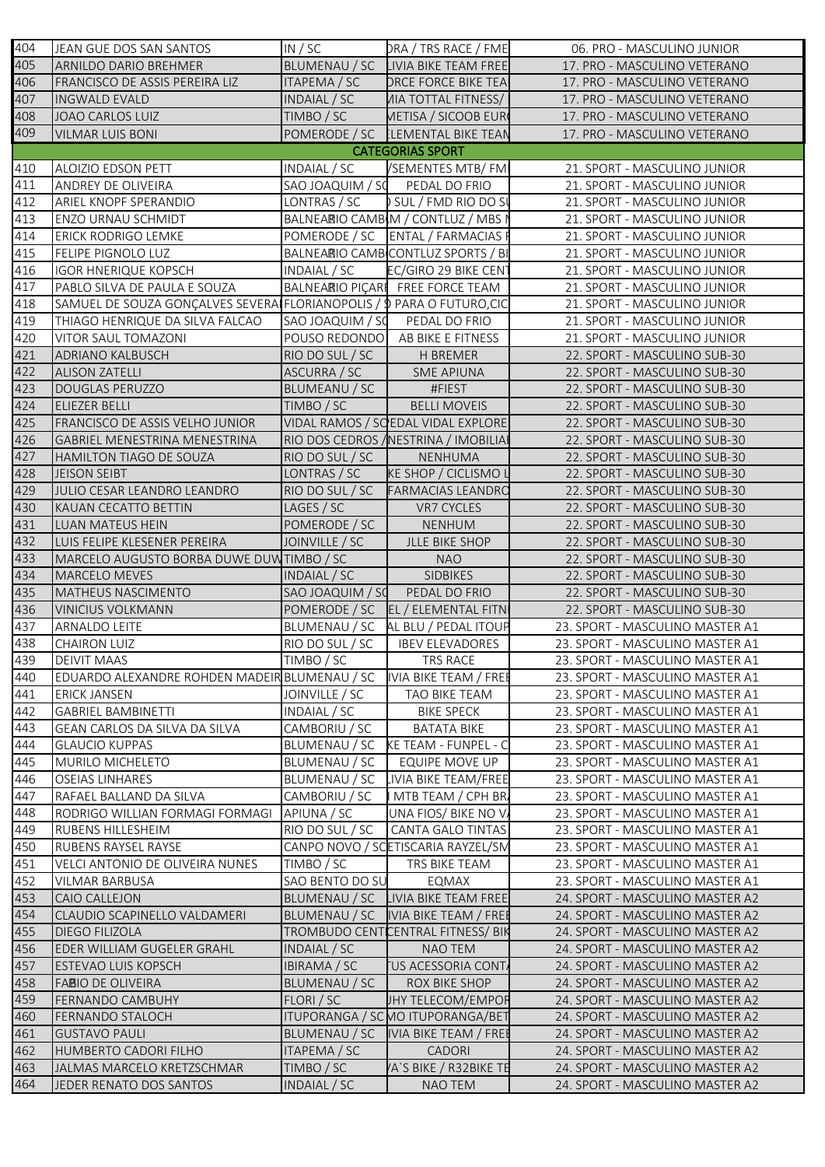| 404        | JEAN GUE DOS SAN SANTOS                                                | IN / SC                    | DRA / TRS RACE / FME                  | 06. PRO - MASCULINO JUNIOR                                         |
|------------|------------------------------------------------------------------------|----------------------------|---------------------------------------|--------------------------------------------------------------------|
| 405        | <b>ARNILDO DARIO BREHMER</b>                                           |                            | BLUMENAU / SC LIVIA BIKE TEAM FREE    | 17. PRO - MASCULINO VETERANO                                       |
| 406        | FRANCISCO DE ASSIS PEREIRA LIZ                                         | ITAPEMA / SC               | <b>DRCE FORCE BIKE TEA</b>            | 17. PRO - MASCULINO VETERANO                                       |
| 407        | <b>INGWALD EVALD</b>                                                   | INDAIAL / SC               | <b><i>AIA TOTTAL FITNESS/</i></b>     | 17. PRO - MASCULINO VETERANO                                       |
| 408        | <b>JOAO CARLOS LUIZ</b>                                                | TIMBO / SC                 | METISA / SICOOB EUR                   | 17. PRO - MASCULINO VETERANO                                       |
| 409        | <b>VILMAR LUIS BONI</b>                                                |                            | POMERODE / SC LEMENTAL BIKE TEAN      | 17. PRO - MASCULINO VETERANO                                       |
|            |                                                                        |                            | <b>CATEGORIAS SPORT</b>               |                                                                    |
| 410        | ALOIZIO EDSON PETT                                                     | INDAIAL / SC               | /SEMENTES MTB/FM                      | 21. SPORT - MASCULINO JUNIOR                                       |
| 411        | ANDREY DE OLIVEIRA                                                     |                            | SAO JOAQUIM / SC PEDAL DO FRIO        | 21. SPORT - MASCULINO JUNIOR                                       |
| 412        | ARIEL KNOPF SPERANDIO                                                  | LONTRAS / SC               | SUL / FMD RIO DO SI                   | 21. SPORT - MASCULINO JUNIOR                                       |
| 413        | ENZO URNAU SCHMIDT                                                     |                            | BALNEARIO CAMBIM / CONTLUZ / MBS I    | 21. SPORT - MASCULINO JUNIOR                                       |
| 414        | ERICK RODRIGO LEMKE                                                    |                            | POMERODE / SC ENTAL / FARMACIAS F     | 21. SPORT - MASCULINO JUNIOR                                       |
| 415        | FELIPE PIGNOLO LUZ                                                     |                            | BALNEARIO CAMBICONTLUZ SPORTS / BI    | 21. SPORT - MASCULINO JUNIOR                                       |
| 416        | <b>IGOR HNERIQUE KOPSCH</b>                                            | INDAIAL / SC               | EC/GIRO 29 BIKE CENT                  | 21. SPORT - MASCULINO JUNIOR                                       |
| 417        | PABLO SILVA DE PAULA E SOUZA                                           |                            | BALNEARIO PIÇARI FREE FORCE TEAM      | 21. SPORT - MASCULINO JUNIOR                                       |
| 418        | SAMUEL DE SOUZA GONÇALVES SEVERA FLORIANOPOLIS / \$ PARA O FUTURO, CIC |                            |                                       | 21. SPORT - MASCULINO JUNIOR                                       |
| 419        | THIAGO HENRIQUE DA SILVA FALCAO                                        |                            | SAO JOAQUIM / SC PEDAL DO FRIO        | 21. SPORT - MASCULINO JUNIOR                                       |
| 420        | VITOR SAUL TOMAZONI                                                    |                            | POUSO REDONDO AB BIKE E FITNESS       | 21. SPORT - MASCULINO JUNIOR                                       |
| 421        | <b>ADRIANO KALBUSCH</b>                                                | RIO DO SUL / SC            | H BREMER                              | 22. SPORT - MASCULINO SUB-30                                       |
| 422        | <b>ALISON ZATELLI</b>                                                  | ASCURRA / SC               | <b>SME APIUNA</b>                     | 22. SPORT - MASCULINO SUB-30                                       |
| 423        | <b>DOUGLAS PERUZZO</b>                                                 | BLUMEANU / SC              | #FIEST                                | 22. SPORT - MASCULINO SUB-30                                       |
| 424        | ELIEZER BELLI                                                          | TIMBO / SC                 | <b>BELLI MOVEIS</b>                   | 22. SPORT - MASCULINO SUB-30                                       |
| 425        | FRANCISCO DE ASSIS VELHO JUNIOR                                        |                            | VIDAL RAMOS / SO EDAL VIDAL EXPLORE   | 22. SPORT - MASCULINO SUB-30                                       |
| 426        |                                                                        |                            |                                       |                                                                    |
|            | <b>GABRIEL MENESTRINA MENESTRINA</b>                                   |                            | RIO DOS CEDROS / NESTRINA / IMOBILIA  | 22. SPORT - MASCULINO SUB-30                                       |
| 427        | HAMILTON TIAGO DE SOUZA                                                | RIO DO SUL / SC            | NENHUMA                               | 22. SPORT - MASCULINO SUB-30                                       |
| 428        | <b>JEISON SEIBT</b>                                                    | LONTRAS / SC               | <b>KE SHOP / CICLISMO L</b>           | 22. SPORT - MASCULINO SUB-30                                       |
| 429        | JULIO CESAR LEANDRO LEANDRO                                            | RIO DO SUL / SC            | <b>FARMACIAS LEANDRO</b>              | 22. SPORT - MASCULINO SUB-30                                       |
| 430        | KAUAN CECATTO BETTIN                                                   | LAGES / SC                 | VR7 CYCLES                            | 22. SPORT - MASCULINO SUB-30                                       |
| 431        | LUAN MATEUS HEIN                                                       | POMERODE / SC              | <b>NENHUM</b>                         | 22. SPORT - MASCULINO SUB-30                                       |
| 432        | LUIS FELIPE KLESENER PEREIRA                                           | JOINVILLE / SC             | JLLE BIKE SHOP                        | 22. SPORT - MASCULINO SUB-30                                       |
|            |                                                                        |                            |                                       |                                                                    |
| 433        | MARCELO AUGUSTO BORBA DUWE DUWTIMBO / SC                               |                            | <b>NAO</b>                            | 22. SPORT - MASCULINO SUB-30                                       |
| 434        | MARCELO MEVES                                                          | INDAIAL / SC               | SIDBIKES                              | 22. SPORT - MASCULINO SUB-30                                       |
| 435        | MATHEUS NASCIMENTO                                                     | SAO JOAQUIM / SO           | PEDAL DO FRIO                         | 22. SPORT - MASCULINO SUB-30                                       |
| 436        | <b>VINICIUS VOLKMANN</b>                                               |                            | POMERODE / SC   EL / ELEMENTAL FITN   | 22. SPORT - MASCULINO SUB-30                                       |
| 437        | ARNALDO LEITE                                                          |                            | BLUMENAU / SC AL BLU / PEDAL ITOUP    | 23. SPORT - MASCULINO MASTER A1                                    |
| 438        | <b>CHAIRON LUIZ</b>                                                    | RIO DO SUL / SC            | <b>IBEV ELEVADORES</b>                | 23. SPORT - MASCULINO MASTER A1                                    |
| 439        | <b>DEIVIT MAAS</b>                                                     | TIMBO / SC                 | TRS RACE                              | 23. SPORT - MASCULINO MASTER A1                                    |
| 440        | EDUARDO ALEXANDRE ROHDEN MADEIR BLUMENAU / SC   VIA BIKE TEAM / FREE   |                            |                                       | 23. SPORT - MASCULINO MASTER A1                                    |
| 441        | <b>ERICK JANSEN</b>                                                    | JOINVILLE / SC             | TAO BIKE TEAM                         | 23. SPORT - MASCULINO MASTER A1                                    |
| 442        | <b>GABRIEL BAMBINETTI</b>                                              | INDAIAL / SC               | <b>BIKE SPECK</b>                     | 23. SPORT - MASCULINO MASTER A1                                    |
| 443        | GEAN CARLOS DA SILVA DA SILVA                                          | CAMBORIU / SC              | <b>BATATA BIKE</b>                    | 23. SPORT - MASCULINO MASTER A1                                    |
| 444        | <b>GLAUCIO KUPPAS</b>                                                  | BLUMENAU / SC              | KE TEAM - FUNPEL - C                  | 23. SPORT - MASCULINO MASTER A1                                    |
| 445        | MURILO MICHELETO                                                       | BLUMENAU / SC              | EQUIPE MOVE UP                        | 23. SPORT - MASCULINO MASTER A1                                    |
| 446        | <b>OSEIAS LINHARES</b>                                                 | BLUMENAU / SC              | IVIA BIKE TEAM/FREE                   | 23. SPORT - MASCULINO MASTER A1                                    |
| 447        | RAFAEL BALLAND DA SILVA                                                | CAMBORIU / SC              | MTB TEAM / CPH BR.                    | 23. SPORT - MASCULINO MASTER A1                                    |
| 448        | RODRIGO WILLIAN FORMAGI FORMAGI                                        | APIUNA / SC                | UNA FIOS/BIKE NOV                     | 23. SPORT - MASCULINO MASTER A1                                    |
| 449        | RUBENS HILLESHEIM                                                      | RIO DO SUL / SC            | <b>CANTA GALO TINTAS</b>              | 23. SPORT - MASCULINO MASTER A1                                    |
| 450        | RUBENS RAYSEL RAYSE                                                    |                            | CANPO NOVO / SCETISCARIA RAYZEL/SM    | 23. SPORT - MASCULINO MASTER A1                                    |
| 451        | VELCI ANTONIO DE OLIVEIRA NUNES                                        | TIMBO / SC                 | TRS BIKE TEAM                         | 23. SPORT - MASCULINO MASTER A1                                    |
| 452        | <b>VILMAR BARBUSA</b>                                                  | SAO BENTO DO SU            | EQMAX                                 | 23. SPORT - MASCULINO MASTER A1                                    |
| 453        | CAIO CALLEJON                                                          |                            | BLUMENAU / SC LIVIA BIKE TEAM FREE    | 24. SPORT - MASCULINO MASTER A2                                    |
| 454        | CLAUDIO SCAPINELLO VALDAMERI                                           |                            | BLUMENAU / SC  IVIA BIKE TEAM / FREE  | 24. SPORT - MASCULINO MASTER A2                                    |
| 455        | <b>DIEGO FILIZOLA</b>                                                  |                            | TROMBUDO CENTICENTRAL FITNESS/ BIK    | 24. SPORT - MASCULINO MASTER A2                                    |
| 456        | EDER WILLIAM GUGELER GRAHL                                             | INDAIAL / SC               | NAO TEM                               | 24. SPORT - MASCULINO MASTER A2                                    |
| 457        | <b>ESTEVAO LUIS KOPSCH</b>                                             | IBIRAMA / SC               | <b>TUS ACESSORIA CONT</b>             | 24. SPORT - MASCULINO MASTER A2                                    |
| 458        | <b>FABIO DE OLIVEIRA</b>                                               | BLUMENAU / SC              | ROX BIKE SHOP                         | 24. SPORT - MASCULINO MASTER A2                                    |
|            | FERNANDO CAMBUHY                                                       | FLORI / SC                 | JHY TELECOM/EMPOR                     | 24. SPORT - MASCULINO MASTER A2                                    |
| 460        | FERNANDO STALOCH                                                       |                            |                                       | 24. SPORT - MASCULINO MASTER A2                                    |
|            |                                                                        |                            | ITUPORANGA / SC MO ITUPORANGA/BET     |                                                                    |
| 459<br>461 | <b>GUSTAVO PAULI</b>                                                   |                            | BLUMENAU / SC   IVIA BIKE TEAM / FREE | 24. SPORT - MASCULINO MASTER A2                                    |
| 462<br>463 | <b>HUMBERTO CADORI FILHO</b><br>JALMAS MARCELO KRETZSCHMAR             | ITAPEMA / SC<br>TIMBO / SC | CADORI<br>A'S BIKE / R32BIKE TE       | 24. SPORT - MASCULINO MASTER A2<br>24. SPORT - MASCULINO MASTER A2 |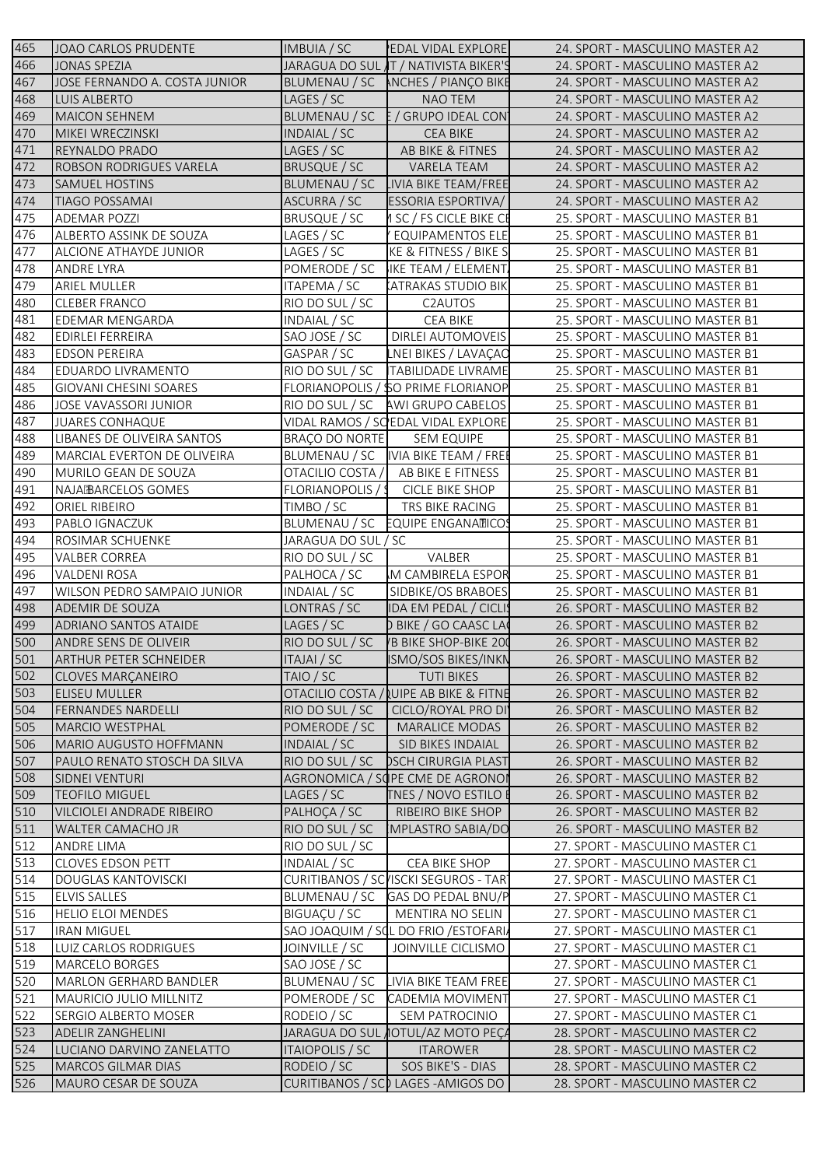| 465        | JOAO CARLOS PRUDENTE                              | IMBUIA / SC         | <b>EDAL VIDAL EXPLORE</b>                                | 24. SPORT - MASCULINO MASTER A2                                    |
|------------|---------------------------------------------------|---------------------|----------------------------------------------------------|--------------------------------------------------------------------|
| 466        | <b>JONAS SPEZIA</b>                               |                     | JARAGUA DO SUL T / NATIVISTA BIKER'S                     | 24. SPORT - MASCULINO MASTER A2                                    |
| 467        | JOSE FERNANDO A. COSTA JUNIOR                     |                     | BLUMENAU / SC MCHES / PIANÇO BIKE                        | 24. SPORT - MASCULINO MASTER A2                                    |
| 468        | LUIS ALBERTO                                      | LAGES / SC          | NAO TEM                                                  | 24. SPORT - MASCULINO MASTER A2                                    |
| 469        | <b>MAICON SEHNEM</b>                              |                     | BLUMENAU / SC E / GRUPO IDEAL CON                        | 24. SPORT - MASCULINO MASTER A2                                    |
| 470        | MIKEI WRECZINSKI                                  | INDAIAL / SC        | <b>CEA BIKE</b>                                          | 24. SPORT - MASCULINO MASTER A2                                    |
| 471        | <b>REYNALDO PRADO</b>                             | LAGES / SC          | AB BIKE & FITNES                                         | 24. SPORT - MASCULINO MASTER A2                                    |
| 472        | ROBSON RODRIGUES VARELA                           | BRUSQUE / SC        | VARELA TEAM                                              | 24. SPORT - MASCULINO MASTER A2                                    |
| 473        | <b>SAMUEL HOSTINS</b>                             | BLUMENAU / SC       | <b>LIVIA BIKE TEAM/FREE</b>                              | 24. SPORT - MASCULINO MASTER A2                                    |
| 474        | <b>TIAGO POSSAMAI</b>                             | ASCURRA / SC        | <b>ESSORIA ESPORTIVA/</b>                                | 24. SPORT - MASCULINO MASTER A2                                    |
| 475        | <b>ADEMAR POZZI</b>                               | <b>BRUSQUE / SC</b> | 1 SC / FS CICLE BIKE CE                                  | 25. SPORT - MASCULINO MASTER B1                                    |
| 476        | ALBERTO ASSINK DE SOUZA                           | LAGES / SC          | EQUIPAMENTOS ELE                                         | 25. SPORT - MASCULINO MASTER B1                                    |
| 477        | ALCIONE ATHAYDE JUNIOR                            | LAGES / SC          | KE & FITNESS / BIKE S                                    | 25. SPORT - MASCULINO MASTER B1                                    |
| 478        | <b>ANDRE LYRA</b>                                 | POMERODE / SC       | IKE TEAM / ELEMENT.                                      | 25. SPORT - MASCULINO MASTER B1                                    |
| 479        | ARIEL MULLER                                      | ITAPEMA / SC        | <b>ATRAKAS STUDIO BIK</b>                                | 25. SPORT - MASCULINO MASTER B1                                    |
| 480        | <b>CLEBER FRANCO</b>                              | RIO DO SUL / SC     | C2AUTOS                                                  | 25. SPORT - MASCULINO MASTER B1                                    |
| 481        | <b>EDEMAR MENGARDA</b>                            | INDAIAL / SC        | CEA BIKE                                                 | 25. SPORT - MASCULINO MASTER B1                                    |
| 482        | <b>EDIRLEI FERREIRA</b>                           | SAO JOSE / SC       | DIRLEI AUTOMOVEIS                                        | 25. SPORT - MASCULINO MASTER B1                                    |
| 483        | <b>EDSON PEREIRA</b>                              | GASPAR / SC         | LNEI BIKES / LAVAÇAO                                     | 25. SPORT - MASCULINO MASTER B1                                    |
| 484        | EDUARDO LIVRAMENTO                                |                     | RIO DO SUL / SC   TABILIDADE LIVRAME                     | 25. SPORT - MASCULINO MASTER B1                                    |
| 485        | GIOVANI CHESINI SOARES                            |                     | FLORIANOPOLIS / \$0 PRIME FLORIANOP                      | 25. SPORT - MASCULINO MASTER B1                                    |
| 486        | JOSE VAVASSORI JUNIOR                             |                     | RIO DO SUL / SC AWI GRUPO CABELOS                        | 25. SPORT - MASCULINO MASTER B1                                    |
| 487        | <b>JUARES CONHAQUE</b>                            |                     | VIDAL RAMOS / SCEDAL VIDAL EXPLORE                       | 25. SPORT - MASCULINO MASTER B1                                    |
| 488        | LIBANES DE OLIVEIRA SANTOS                        | BRAÇO DO NORTE      | <b>SEM EQUIPE</b>                                        | 25. SPORT - MASCULINO MASTER B1                                    |
| 489        | MARCIAL EVERTON DE OLIVEIRA                       |                     | BLUMENAU / SC   IVIA BIKE TEAM / FREE                    | 25. SPORT - MASCULINO MASTER B1                                    |
| 490        | MURILO GEAN DE SOUZA                              | OTACILIO COSTA /    | AB BIKE E FITNESS                                        | 25. SPORT - MASCULINO MASTER B1                                    |
| 491        | NAJA BARCELOS GOMES                               | FLORIANOPOLIS / 9   | CICLE BIKE SHOP                                          | 25. SPORT - MASCULINO MASTER B1                                    |
| 492        | ORIEL RIBEIRO                                     | TIMBO / SC          | TRS BIKE RACING                                          | 25. SPORT - MASCULINO MASTER B1                                    |
| 493        | PABLO IGNACZUK                                    | BLUMENAU / SC       | <b>EQUIPE ENGANATICOS</b>                                | 25. SPORT - MASCULINO MASTER B1                                    |
| 494        | ROSIMAR SCHUENKE                                  | JARAGUA DO SUL / SC |                                                          | 25. SPORT - MASCULINO MASTER B1                                    |
| 495        | VALBER CORREA                                     | RIO DO SUL / SC     | VALBER                                                   | 25. SPORT - MASCULINO MASTER B1                                    |
|            |                                                   |                     |                                                          |                                                                    |
| 496        | <b>VALDENI ROSA</b>                               | PALHOCA / SC        | M CAMBIRELA ESPOR                                        | 25. SPORT - MASCULINO MASTER B1                                    |
| 497        | WILSON PEDRO SAMPAIO JUNIOR                       | INDAIAL / SC        | SIDBIKE/OS BRABOES                                       | 25. SPORT - MASCULINO MASTER B1                                    |
| 498        | ADEMIR DE SOUZA                                   | LONTRAS / SC        | <b>IDA EM PEDAL / CICLIS</b>                             | 26. SPORT - MASCULINO MASTER B2                                    |
| 499        | ADRIANO SANTOS ATAIDE                             | LAGES / SC          | D BIKE / GO CAASC LA                                     | 26. SPORT - MASCULINO MASTER B2                                    |
| 500        | ANDRE SENS DE OLIVEIR                             | RIO DO SUL / SC     | <b>B BIKE SHOP-BIKE 200</b>                              | 26. SPORT - MASCULINO MASTER B2                                    |
| 501        | <b>JARTHUR PETER SCHNEIDER</b>                    | ITAJAI / SC         | <b>ISMO/SOS BIKES/INKN</b>                               | 26. SPORT - MASCULINO MASTER B2                                    |
| 502        | <b>CLOVES MARÇANEIRO</b>                          | TAIO / SC           | <b>TUTI BIKES</b>                                        | 26. SPORT - MASCULINO MASTER B2                                    |
| 503        | <b>ELISEU MULLER</b>                              | OTACILIO COSTA /    | <b>QUIPE AB BIKE &amp; FITNE</b>                         | 26. SPORT - MASCULINO MASTER B2                                    |
| 504        | <b>FERNANDES NARDELLI</b>                         | RIO DO SUL / SC     | CICLO/ROYAL PRO DI                                       | 26. SPORT - MASCULINO MASTER B2                                    |
| 505        | <b>MARCIO WESTPHAL</b>                            | POMERODE / SC       | <b>MARALICE MODAS</b>                                    | 26. SPORT - MASCULINO MASTER B2                                    |
| 506        | MARIO AUGUSTO HOFFMANN                            | INDAIAL / SC        | SID BIKES INDAIAL                                        | 26. SPORT - MASCULINO MASTER B2                                    |
| 507        | PAULO RENATO STOSCH DA SILVA                      | RIO DO SUL / SC     | <b>DSCH CIRURGIA PLAST</b>                               | 26. SPORT - MASCULINO MASTER B2                                    |
| 508        | SIDNEI VENTURI                                    |                     | AGRONOMICA / SCIPE CME DE AGRONOI                        | 26. SPORT - MASCULINO MASTER B2                                    |
| 509        | <b>TEOFILO MIGUEL</b>                             | LAGES / SC          | <b>TNES / NOVO ESTILO I</b>                              | 26. SPORT - MASCULINO MASTER B2                                    |
| 510        | <b>VILCIOLEI ANDRADE RIBEIRO</b>                  | PALHOÇA / SC        | RIBEIRO BIKE SHOP                                        | 26. SPORT - MASCULINO MASTER B2                                    |
| 511        | <b>WALTER CAMACHO JR</b>                          | RIO DO SUL / SC     | <b>MPLASTRO SABIA/DO</b>                                 | 26. SPORT - MASCULINO MASTER B2                                    |
| 512        | ANDRE LIMA                                        | RIO DO SUL / SC     |                                                          | 27. SPORT - MASCULINO MASTER C1                                    |
| 513        | <b>CLOVES EDSON PETT</b>                          | INDAIAL / SC        | CEA BIKE SHOP                                            | 27. SPORT - MASCULINO MASTER C1                                    |
| 514        | <b>DOUGLAS KANTOVISCKI</b>                        |                     | CURITIBANOS / SCVISCKI SEGUROS - TAR                     | 27. SPORT - MASCULINO MASTER C1                                    |
| 515        | <b>ELVIS SALLES</b>                               |                     | BLUMENAU / SC GAS DO PEDAL BNU/P                         | 27. SPORT - MASCULINO MASTER C1                                    |
| 516        | <b>HELIO ELOI MENDES</b>                          | BIGUAÇU / SC        | MENTIRA NO SELIN                                         | 27. SPORT - MASCULINO MASTER C1                                    |
| 517        | <b>IRAN MIGUEL</b>                                |                     | SAO JOAQUIM / SOL DO FRIO / ESTOFARI                     | 27. SPORT - MASCULINO MASTER C1                                    |
| 518        | LUIZ CARLOS RODRIGUES                             | JOINVILLE / SC      | JOINVILLE CICLISMO                                       | 27. SPORT - MASCULINO MASTER C1                                    |
| 519        | MARCELO BORGES                                    | SAO JOSE / SC       |                                                          | 27. SPORT - MASCULINO MASTER C1                                    |
| 520        | <b>MARLON GERHARD BANDLER</b>                     | BLUMENAU / SC       | LIVIA BIKE TEAM FREE                                     | 27. SPORT - MASCULINO MASTER C1                                    |
| 521        | MAURICIO JULIO MILLNITZ                           | POMERODE / SC       | CADEMIA MOVIMENT                                         | 27. SPORT - MASCULINO MASTER C1                                    |
| 522        | SERGIO ALBERTO MOSER                              | RODEIO / SC         | SEM PATROCINIO                                           | 27. SPORT - MASCULINO MASTER C1                                    |
| 523        | <b>ADELIR ZANGHELINI</b>                          |                     | JARAGUA DO SUL <b>J</b> IOTUL/AZ MOTO PEÇA               | 28. SPORT - MASCULINO MASTER C2                                    |
| 524        | LUCIANO DARVINO ZANELATTO                         | ITAIOPOLIS / SC     | <b>ITAROWER</b>                                          | 28. SPORT - MASCULINO MASTER C2                                    |
| 525<br>526 | <b>MARCOS GILMAR DIAS</b><br>MAURO CESAR DE SOUZA | RODEIO / SC         | SOS BIKE'S - DIAS<br>CURITIBANOS / SCO LAGES - AMIGOS DO | 28. SPORT - MASCULINO MASTER C2<br>28. SPORT - MASCULINO MASTER C2 |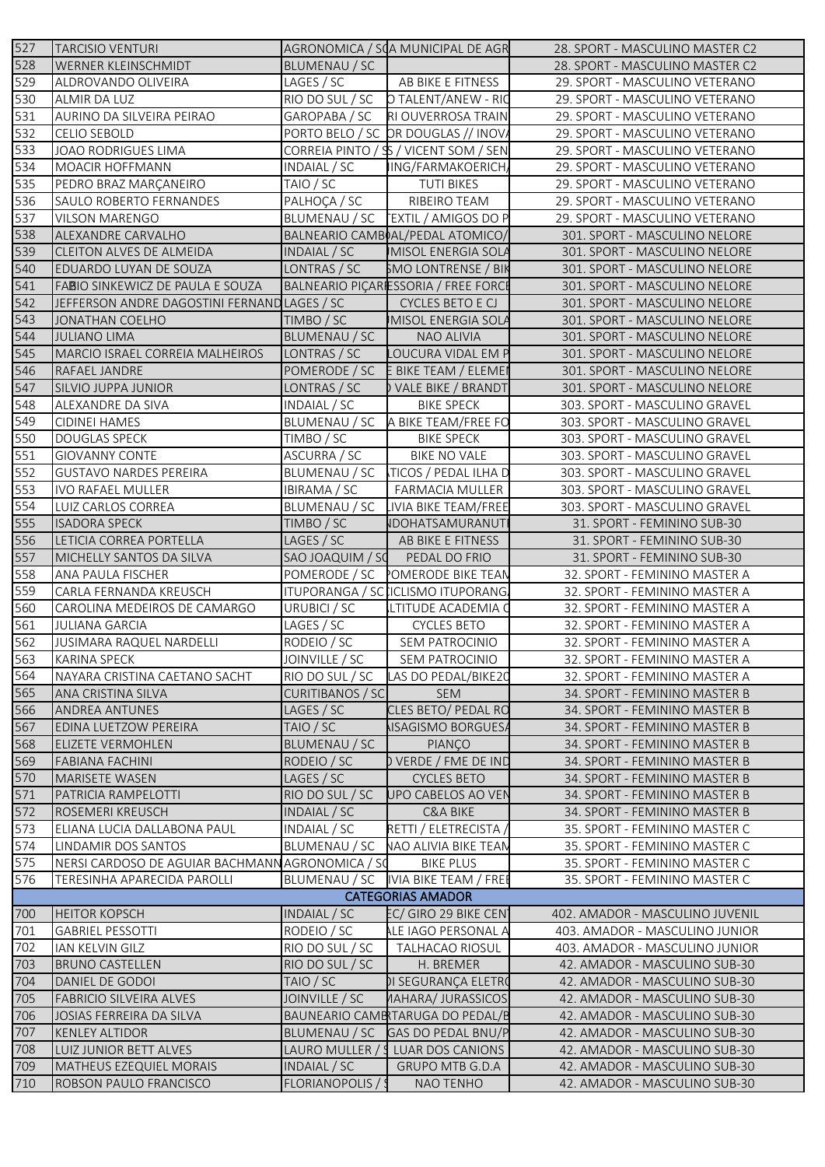| 527 | <b>TARCISIO VENTURI</b>                          |                         | AGRONOMICA / SOA MUNICIPAL DE AGR     | 28. SPORT - MASCULINO MASTER C2 |
|-----|--------------------------------------------------|-------------------------|---------------------------------------|---------------------------------|
| 528 | WERNER KLEINSCHMIDT                              | BLUMENAU / SC           |                                       | 28. SPORT - MASCULINO MASTER C2 |
| 529 | ALDROVANDO OLIVEIRA                              | LAGES / SC              | AB BIKE E FITNESS                     | 29. SPORT - MASCULINO VETERANO  |
| 530 | ALMIR DA LUZ                                     | RIO DO SUL / SC         | O TALENT/ANEW - RIC                   | 29. SPORT - MASCULINO VETERANO  |
| 531 | AURINO DA SILVEIRA PEIRAO                        | GAROPABA / SC           | RI OUVERROSA TRAIN                    | 29. SPORT - MASCULINO VETERANO  |
| 532 | <b>CELIO SEBOLD</b>                              |                         | PORTO BELO / SC DR DOUGLAS // INOVA   | 29. SPORT - MASCULINO VETERANO  |
| 533 | JOAO RODRIGUES LIMA                              |                         | CORREIA PINTO / SS / VICENT SOM / SEN | 29. SPORT - MASCULINO VETERANO  |
| 534 | MOACIR HOFFMANN                                  | INDAIAL / SC            | IING/FARMAKOERICH,                    | 29. SPORT - MASCULINO VETERANO  |
| 535 | PEDRO BRAZ MARÇANEIRO                            | TAIO / SC               | <b>TUTI BIKES</b>                     | 29. SPORT - MASCULINO VETERANO  |
| 536 | SAULO ROBERTO FERNANDES                          | PALHOÇA / SC            | RIBEIRO TEAM                          | 29. SPORT - MASCULINO VETERANO  |
| 537 | <b>VILSON MARENGO</b>                            |                         | BLUMENAU / SC   EXTIL / AMIGOS DO P   | 29. SPORT - MASCULINO VETERANO  |
| 538 | ALEXANDRE CARVALHO                               |                         | BALNEARIO CAMBOAL/PEDAL ATOMICO/      | 301. SPORT - MASCULINO NELORE   |
| 539 | CLEITON ALVES DE ALMEIDA                         | INDAIAL / SC            | MISOL ENERGIA SOLA                    | 301. SPORT - MASCULINO NELORE   |
| 540 | EDUARDO LUYAN DE SOUZA                           | LONTRAS / SC            | <b>SMO LONTRENSE / BIK</b>            | 301. SPORT - MASCULINO NELORE   |
| 541 | FABIO SINKEWICZ DE PAULA E SOUZA                 |                         | BALNEARIO PIÇARIESSORIA / FREE FORCE  | 301. SPORT - MASCULINO NELORE   |
| 542 | JEFFERSON ANDRE DAGOSTINI FERNAND LAGES / SC     |                         | CYCLES BETO E CJ                      | 301. SPORT - MASCULINO NELORE   |
| 543 | <b>JONATHAN COELHO</b>                           | TIMBO / SC              | <b>MISOL ENERGIA SOLA</b>             | 301. SPORT - MASCULINO NELORE   |
| 544 | <b>JULIANO LIMA</b>                              | BLUMENAU / SC           | NAO ALIVIA                            | 301. SPORT - MASCULINO NELORE   |
| 545 | MARCIO ISRAEL CORREIA MALHEIROS                  | LONTRAS / SC            | LOUCURA VIDAL EM P                    | 301. SPORT - MASCULINO NELORE   |
| 546 | RAFAEL JANDRE                                    | POMERODE / SC           | E BIKE TEAM / ELEMEI                  | 301. SPORT - MASCULINO NELORE   |
| 547 | <b>SILVIO JUPPA JUNIOR</b>                       | LONTRAS / SC            | ) VALE BIKE / BRANDT                  | 301. SPORT - MASCULINO NELORE   |
| 548 | ALEXANDRE DA SIVA                                | INDAIAL / SC            | <b>BIKE SPECK</b>                     | 303. SPORT - MASCULINO GRAVEL   |
| 549 | <b>CIDINEI HAMES</b>                             | BLUMENAU / SC           | A BIKE TEAM/FREE FO                   | 303. SPORT - MASCULINO GRAVEL   |
| 550 | <b>DOUGLAS SPECK</b>                             | TIMBO / SC              | <b>BIKE SPECK</b>                     | 303. SPORT - MASCULINO GRAVEL   |
| 551 | <b>GIOVANNY CONTE</b>                            | ASCURRA / SC            | <b>BIKE NO VALE</b>                   | 303. SPORT - MASCULINO GRAVEL   |
| 552 | <b>GUSTAVO NARDES PEREIRA</b>                    | BLUMENAU / SC           | <b>TICOS / PEDAL ILHA D</b>           | 303. SPORT - MASCULINO GRAVEL   |
| 553 | <b>IVO RAFAEL MULLER</b>                         | IBIRAMA / SC            | <b>FARMACIA MULLER</b>                | 303. SPORT - MASCULINO GRAVEL   |
| 554 | LUIZ CARLOS CORREA                               | BLUMENAU / SC           | IVIA BIKE TEAM/FREE                   | 303. SPORT - MASCULINO GRAVEL   |
| 555 | <b>ISADORA SPECK</b>                             | TIMBO / SC              | IDOHATSAMURANUTI                      | 31. SPORT - FEMININO SUB-30     |
| 556 | LETICIA CORREA PORTELLA                          | LAGES / SC              | AB BIKE E FITNESS                     | 31. SPORT - FEMININO SUB-30     |
| 557 | MICHELLY SANTOS DA SILVA                         | SAO JOAQUIM / SO        | PEDAL DO FRIO                         | 31. SPORT - FEMININO SUB-30     |
| 558 | ANA PAULA FISCHER                                |                         | POMERODE / SC POMERODE BIKE TEAN      | 32. SPORT - FEMININO MASTER A   |
| 559 | CARLA FERNANDA KREUSCH                           |                         | ITUPORANGA / SC ICLISMO ITUPORANG     | 32. SPORT - FEMININO MASTER A   |
| 560 | CAROLINA MEDEIROS DE CAMARGO                     | URUBICI / SC            | LTITUDE ACADEMIA (                    | 32. SPORT - FEMININO MASTER A   |
| 561 | <b>JULIANA GARCIA</b>                            | LAGES / SC              | <b>CYCLES BETO</b>                    | 32. SPORT - FEMININO MASTER A   |
| 562 | JUSIMARA RAQUEL NARDELLI                         | RODEIO / SC             | SEM PATROCINIO                        | 32. SPORT - FEMININO MASTER A   |
| 563 | KARINA SPECK                                     | JOINVILLE / SC          | SEM PATROCINIO                        | 32. SPORT - FEMININO MASTER A   |
| 564 | NAYARA CRISTINA CAETANO SACHT                    | RIO DO SUL / SC         | LAS DO PEDAL/BIKE20                   | 32. SPORT - FEMININO MASTER A   |
| 565 | ANA CRISTINA SILVA                               | <b>CURITIBANOS / SC</b> | <b>SEM</b>                            | 34. SPORT - FEMININO MASTER B   |
| 566 | ANDREA ANTUNES                                   | LAGES / SC              | CLES BETO/ PEDAL RO                   | 34. SPORT - FEMININO MASTER B   |
| 567 | <b>EDINA LUETZOW PEREIRA</b>                     | TAIO / SC               | <b>NSAGISMO BORGUESA</b>              | 34. SPORT - FEMININO MASTER B   |
| 568 | <b>ELIZETE VERMOHLEN</b>                         | BLUMENAU / SC           | PIANÇO                                | 34. SPORT - FEMININO MASTER B   |
| 569 | <b>FABIANA FACHINI</b>                           | RODEIO / SC             | ) VERDE / FME DE IND                  | 34. SPORT - FEMININO MASTER B   |
| 570 | <b>MARISETE WASEN</b>                            | LAGES / SC              | <b>CYCLES BETO</b>                    | 34. SPORT - FEMININO MASTER B   |
| 571 | PATRICIA RAMPELOTTI                              | RIO DO SUL / SC         | <b>UPO CABELOS AO VEN</b>             | 34. SPORT - FEMININO MASTER B   |
| 572 | ROSEMERI KREUSCH                                 | <b>INDAIAL / SC</b>     | C&A BIKE                              | 34. SPORT - FEMININO MASTER B   |
| 573 | ELIANA LUCIA DALLABONA PAUL                      | INDAIAL / SC            | RETTI / ELETRECISTA /                 | 35. SPORT - FEMININO MASTER C   |
| 574 | LINDAMIR DOS SANTOS                              | BLUMENAU / SC           | <b>NAO ALIVIA BIKE TEAN</b>           | 35. SPORT - FEMININO MASTER C   |
| 575 | NERSI CARDOSO DE AGUIAR BACHMANN AGRONOMICA / SO |                         | <b>BIKE PLUS</b>                      | 35. SPORT - FEMININO MASTER C   |
| 576 | TERESINHA APARECIDA PAROLLI                      |                         | BLUMENAU / SC   IVIA BIKE TEAM / FREE | 35. SPORT - FEMININO MASTER C   |
|     |                                                  |                         | <b>CATEGORIAS AMADOR</b>              |                                 |
| 700 | <b>HEITOR KOPSCH</b>                             | <b>INDAIAL / SC</b>     | EC/ GIRO 29 BIKE CENT                 | 402. AMADOR - MASCULINO JUVENIL |
| 701 | <b>GABRIEL PESSOTTI</b>                          | RODEIO / SC             | ALE IAGO PERSONAL A                   | 403. AMADOR - MASCULINO JUNIOR  |
| 702 | IAN KELVIN GILZ                                  | RIO DO SUL / SC         | <b>TALHACAO RIOSUL</b>                | 403. AMADOR - MASCULINO JUNIOR  |
| 703 | <b>BRUNO CASTELLEN</b>                           | RIO DO SUL / SC         | H. BREMER                             | 42. AMADOR - MASCULINO SUB-30   |
| 704 | DANIEL DE GODOI                                  | TAIO / SC               | DI SEGURANÇA ELETRO                   | 42. AMADOR - MASCULINO SUB-30   |
| 705 | <b>FABRICIO SILVEIRA ALVES</b>                   | JOINVILLE / SC          | (AAHARA/ JURASSICOS                   | 42. AMADOR - MASCULINO SUB-30   |
| 706 | JOSIAS FERREIRA DA SILVA                         |                         | BAUNEARIO CAMBITARUGA DO PEDAL/B      | 42. AMADOR - MASCULINO SUB-30   |
| 707 | <b>KENLEY ALTIDOR</b>                            | BLUMENAU / SC           | <b>GAS DO PEDAL BNU/P</b>             | 42. AMADOR - MASCULINO SUB-30   |
| 708 | LUIZ JUNIOR BETT ALVES                           | LAURO MULLER / S        | LUAR DOS CANIONS                      | 42. AMADOR - MASCULINO SUB-30   |
| 709 | MATHEUS EZEQUIEL MORAIS                          | INDAIAL / SC            | <b>GRUPO MTB G.D.A</b>                | 42. AMADOR - MASCULINO SUB-30   |
| 710 | ROBSON PAULO FRANCISCO                           | FLORIANOPOLIS / \$      | NAO TENHO                             | 42. AMADOR - MASCULINO SUB-30   |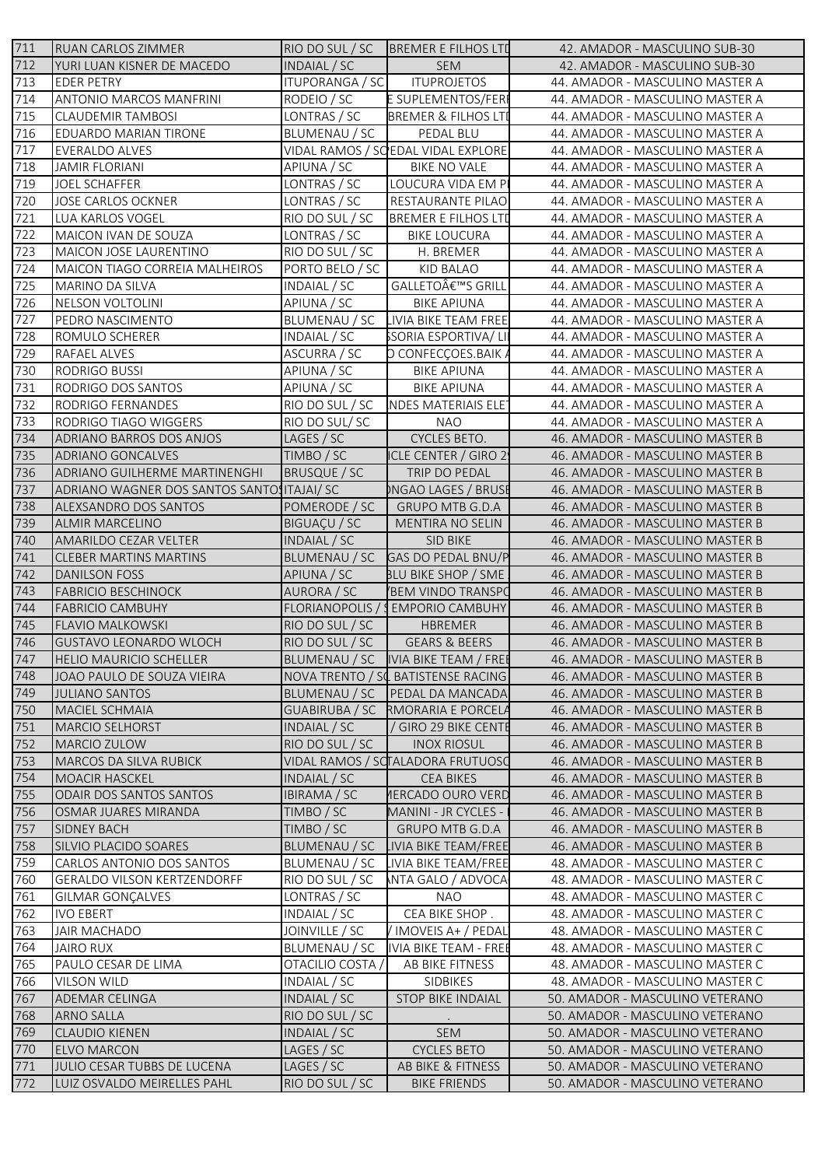| 711 | RUAN CARLOS ZIMMER                          | RIO DO SUL / SC        | <b>BREMER E FILHOS LTD</b>           | 42. AMADOR - MASCULINO SUB-30   |
|-----|---------------------------------------------|------------------------|--------------------------------------|---------------------------------|
| 712 | YURI LUAN KISNER DE MACEDO                  | INDAIAL / SC           | <b>SEM</b>                           | 42. AMADOR - MASCULINO SUB-30   |
| 713 | <b>EDER PETRY</b>                           | <b>ITUPORANGA / SC</b> | <b>ITUPROJETOS</b>                   | 44. AMADOR - MASCULINO MASTER A |
| 714 | ANTONIO MARCOS MANFRINI                     | RODEIO / SC            | E SUPLEMENTOS/FER                    | 44. AMADOR - MASCULINO MASTER A |
| 715 | <b>CLAUDEMIR TAMBOSI</b>                    | LONTRAS / SC           | <b>BREMER &amp; FILHOS LTD</b>       | 44. AMADOR - MASCULINO MASTER A |
| 716 | <b>EDUARDO MARIAN TIRONE</b>                | BLUMENAU / SC          | PEDAL BLU                            | 44. AMADOR - MASCULINO MASTER A |
| 717 | <b>EVERALDO ALVES</b>                       |                        | VIDAL RAMOS / SO EDAL VIDAL EXPLORE  | 44. AMADOR - MASCULINO MASTER A |
| 718 | <b>JAMIR FLORIANI</b>                       | APIUNA / SC            | BIKE NO VALE                         | 44. AMADOR - MASCULINO MASTER A |
| 719 | JOEL SCHAFFER                               | LONTRAS / SC           | LOUCURA VIDA EM P                    | 44. AMADOR - MASCULINO MASTER A |
| 720 | JOSE CARLOS OCKNER                          | LONTRAS / SC           | RESTAURANTE PILAO                    | 44. AMADOR - MASCULINO MASTER A |
| 721 | <b>LUA KARLOS VOGEL</b>                     | RIO DO SUL / SC        | <b>BREMER E FILHOS LTD</b>           | 44. AMADOR - MASCULINO MASTER A |
| 722 | MAICON IVAN DE SOUZA                        | LONTRAS / SC           | <b>BIKE LOUCURA</b>                  | 44. AMADOR - MASCULINO MASTER A |
| 723 | MAICON JOSE LAURENTINO                      | RIO DO SUL / SC        | H. BREMER                            | 44. AMADOR - MASCULINO MASTER A |
| 724 | MAICON TIAGO CORREIA MALHEIROS              | PORTO BELO / SC        | KID BALAO                            | 44. AMADOR - MASCULINO MASTER A |
| 725 | MARINO DA SILVA                             | INDAIAL / SC           | GALLETO€™S GRILL                     | 44. AMADOR - MASCULINO MASTER A |
| 726 | NELSON VOLTOLINI                            | APIUNA / SC            | <b>BIKE APIUNA</b>                   | 44. AMADOR - MASCULINO MASTER A |
| 727 | PEDRO NASCIMENTO                            |                        | BLUMENAU / SC LIVIA BIKE TEAM FREE   | 44. AMADOR - MASCULINO MASTER A |
| 728 | ROMULO SCHERER                              | INDAIAL / SC           | SSORIA ESPORTIVA/LI                  | 44. AMADOR - MASCULINO MASTER A |
| 729 | RAFAEL ALVES                                | ASCURRA / SC           | D CONFECÇOES.BAIK A                  | 44. AMADOR - MASCULINO MASTER A |
| 730 | RODRIGO BUSSI                               | APIUNA / SC            | <b>BIKE APIUNA</b>                   | 44. AMADOR - MASCULINO MASTER A |
| 731 | RODRIGO DOS SANTOS                          | APIUNA / SC            | <b>BIKE APIUNA</b>                   | 44. AMADOR - MASCULINO MASTER A |
| 732 | RODRIGO FERNANDES                           |                        | RIO DO SUL / SC INDES MATERIAIS ELET | 44. AMADOR - MASCULINO MASTER A |
| 733 | RODRIGO TIAGO WIGGERS                       | RIO DO SUL/SC          | NAO                                  | 44. AMADOR - MASCULINO MASTER A |
| 734 | ADRIANO BARROS DOS ANJOS                    | LAGES / SC             | CYCLES BETO.                         | 46. AMADOR - MASCULINO MASTER B |
| 735 | ADRIANO GONCALVES                           | TIMBO / SC             | ICLE CENTER / GIRO 2                 | 46. AMADOR - MASCULINO MASTER B |
| 736 | ADRIANO GUILHERME MARTINENGHI               | BRUSQUE / SC           | TRIP DO PEDAL                        | 46. AMADOR - MASCULINO MASTER B |
| 737 | ADRIANO WAGNER DOS SANTOS SANTOS ITAJAI/ SC |                        | )NGAO LAGES / BRUSI                  | 46. AMADOR - MASCULINO MASTER B |
| 738 | ALEXSANDRO DOS SANTOS                       | POMERODE / SC          | <b>GRUPO MTB G.D.A</b>               | 46. AMADOR - MASCULINO MASTER B |
| 739 | <b>ALMIR MARCELINO</b>                      | BIGUAÇU / SC           | MENTIRA NO SELIN                     | 46. AMADOR - MASCULINO MASTER B |
| 740 | AMARILDO CEZAR VELTER                       | INDAIAL / SC           | SID BIKE                             | 46. AMADOR - MASCULINO MASTER B |
| 741 | <b>CLEBER MARTINS MARTINS</b>               |                        | BLUMENAU / SC GAS DO PEDAL BNU/P     | 46. AMADOR - MASCULINO MASTER B |
| 742 | <b>DANILSON FOSS</b>                        | APIUNA / SC            | BLU BIKE SHOP / SME                  | 46. AMADOR - MASCULINO MASTER B |
| 743 | <b>FABRICIO BESCHINOCK</b>                  | AURORA / SC            | BEM VINDO TRANSPO                    | 46. AMADOR - MASCULINO MASTER B |
| 744 | <b>FABRICIO CAMBUHY</b>                     |                        | FLORIANOPOLIS / SEMPORIO CAMBUHY     | 46. AMADOR - MASCULINO MASTER B |
| 745 | <b>FLAVIO MALKOWSKI</b>                     | RIO DO SUL / SC        | HBREMER                              | 46. AMADOR - MASCULINO MASTER B |
| 746 | <b>GUSTAVO LEONARDO WLOCH</b>               | RIO DO SUL / SC        | <b>GEARS &amp; BEERS</b>             | 46. AMADOR - MASCULINO MASTER B |
| 747 | <b>HELIO MAURICIO SCHELLER</b>              |                        | BLUMENAU / SC  IVIA BIKE TEAM / FREE | 46. AMADOR - MASCULINO MASTER B |
| 748 | JOAO PAULO DE SOUZA VIEIRA                  |                        | NOVA TRENTO / SC BATISTENSE RACING   | 46. AMADOR - MASCULINO MASTER B |
| 749 | <b>JULIANO SANTOS</b>                       | BLUMENAU / SC          | <b>PEDAL DA MANCADA</b>              | 46. AMADOR - MASCULINO MASTER B |
| 750 | MACIEL SCHMAIA                              |                        | GUABIRUBA / SC RMORARIA E PORCELA    | 46. AMADOR - MASCULINO MASTER B |
| 751 | MARCIO SELHORST                             | INDAIAL / SC           | / GIRO 29 BIKE CENTE                 | 46. AMADOR - MASCULINO MASTER B |
| 752 | MARCIO ZULOW                                | RIO DO SUL / SC        | <b>INOX RIOSUL</b>                   | 46. AMADOR - MASCULINO MASTER B |
| 753 | MARCOS DA SILVA RUBICK                      |                        | VIDAL RAMOS / SCTALADORA FRUTUOSO    | 46. AMADOR - MASCULINO MASTER B |
| 754 | <b>MOACIR HASCKEL</b>                       | INDAIAL / SC           | <b>CEA BIKES</b>                     | 46. AMADOR - MASCULINO MASTER B |
| 755 | <b>ODAIR DOS SANTOS SANTOS</b>              | IBIRAMA / SC           | <b>IERCADO OURO VERD</b>             | 46. AMADOR - MASCULINO MASTER B |
| 756 | OSMAR JUARES MIRANDA                        | TIMBO / SC             | <b>MANINI - JR CYCLES -</b>          | 46. AMADOR - MASCULINO MASTER B |
| 757 | <b>SIDNEY BACH</b>                          | TIMBO / SC             | <b>GRUPO MTB G.D.A</b>               | 46. AMADOR - MASCULINO MASTER B |
| 758 | SILVIO PLACIDO SOARES                       | BLUMENAU / SC          | LIVIA BIKE TEAM/FREE                 | 46. AMADOR - MASCULINO MASTER B |
| 759 | <b>CARLOS ANTONIO DOS SANTOS</b>            | BLUMENAU / SC          | <b>LIVIA BIKE TEAM/FREE</b>          | 48. AMADOR - MASCULINO MASTER C |
| 760 | <b>GERALDO VILSON KERTZENDORFF</b>          | RIO DO SUL / SC        | NTA GALO / ADVOCA                    | 48. AMADOR - MASCULINO MASTER C |
| 761 | <b>GILMAR GONÇALVES</b>                     | LONTRAS / SC           | <b>NAO</b>                           | 48. AMADOR - MASCULINO MASTER C |
| 762 | <b>IVO EBERT</b>                            | INDAIAL / SC           | CEA BIKE SHOP.                       | 48. AMADOR - MASCULINO MASTER C |
| 763 | <b>JAIR MACHADO</b>                         | JOINVILLE / SC         | / IMOVEIS A+ / PEDAL                 | 48. AMADOR - MASCULINO MASTER C |
| 764 | <b>JAIRO RUX</b>                            | BLUMENAU / SC          | IVIA BIKE TEAM - FREE                | 48. AMADOR - MASCULINO MASTER C |
| 765 | PAULO CESAR DE LIMA                         | OTACILIO COSTA         | AB BIKE FITNESS                      | 48. AMADOR - MASCULINO MASTER C |
| 766 | <b>VILSON WILD</b>                          | INDAIAL / SC           | SIDBIKES                             | 48. AMADOR - MASCULINO MASTER C |
| 767 | <b>ADEMAR CELINGA</b>                       | INDAIAL / SC           | <b>STOP BIKE INDAIAL</b>             | 50. AMADOR - MASCULINO VETERANO |
| 768 | ARNO SALLA                                  | RIO DO SUL / SC        |                                      | 50. AMADOR - MASCULINO VETERANO |
| 769 | <b>CLAUDIO KIENEN</b>                       | INDAIAL / SC           | <b>SEM</b>                           | 50. AMADOR - MASCULINO VETERANO |
| 770 | <b>ELVO MARCON</b>                          | LAGES / SC             | <b>CYCLES BETO</b>                   | 50. AMADOR - MASCULINO VETERANO |
| 771 | JULIO CESAR TUBBS DE LUCENA                 | LAGES / SC             | AB BIKE & FITNESS                    | 50. AMADOR - MASCULINO VETERANO |
| 772 | LUIZ OSVALDO MEIRELLES PAHL                 | RIO DO SUL / SC        | <b>BIKE FRIENDS</b>                  | 50. AMADOR - MASCULINO VETERANO |
|     |                                             |                        |                                      |                                 |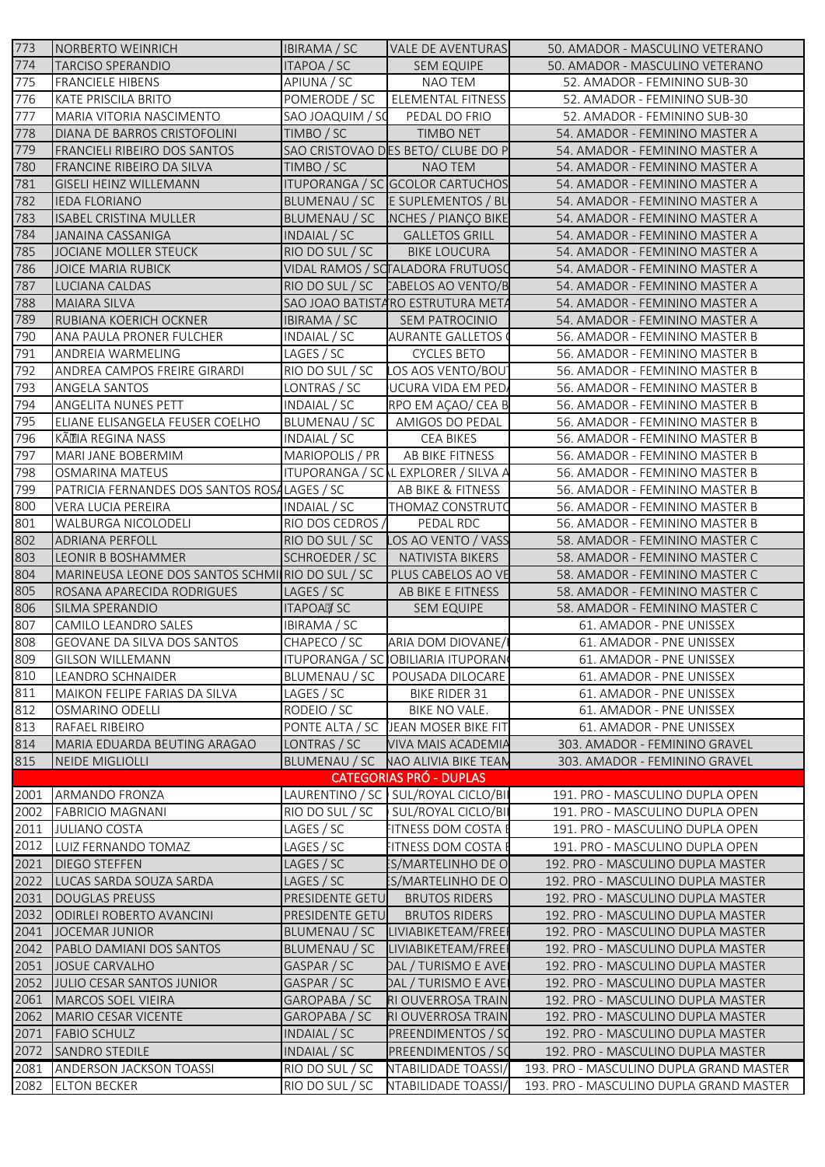| 773          | NORBERTO WEINRICH                                      | <b>IBIRAMA / SC</b>          | <b>VALE DE AVENTURAS</b>                            | 50. AMADOR - MASCULINO VETERANO                                        |
|--------------|--------------------------------------------------------|------------------------------|-----------------------------------------------------|------------------------------------------------------------------------|
| 774          | <b>TARCISO SPERANDIO</b>                               | ITAPOA / SC                  | <b>SEM EQUIPE</b>                                   | 50. AMADOR - MASCULINO VETERANO                                        |
| 775          | <b>FRANCIELE HIBENS</b>                                | APIUNA / SC                  | NAO TEM                                             | 52. AMADOR - FEMININO SUB-30                                           |
| 776          | KATE PRISCILA BRITO                                    | POMERODE / SC                | <b>ELEMENTAL FITNESS</b>                            | 52. AMADOR - FEMININO SUB-30                                           |
| 777          | MARIA VITORIA NASCIMENTO                               | SAO JOAQUIM / SC             | PEDAL DO FRIO                                       | 52. AMADOR - FEMININO SUB-30                                           |
| 778          | DIANA DE BARROS CRISTOFOLINI                           | TIMBO / SC                   | <b>TIMBO NET</b>                                    | 54. AMADOR - FEMININO MASTER A                                         |
| 779          | <b>FRANCIELI RIBEIRO DOS SANTOS</b>                    |                              | SAO CRISTOVAO DES BETO/ CLUBE DO P                  | 54. AMADOR - FEMININO MASTER A                                         |
| 780          | <b>FRANCINE RIBEIRO DA SILVA</b>                       | TIMBO / SC                   | NAO TEM                                             | 54. AMADOR - FEMININO MASTER A                                         |
| 781          | <b>GISELI HEINZ WILLEMANN</b>                          |                              | ITUPORANGA / SC GCOLOR CARTUCHOS                    | 54. AMADOR - FEMININO MASTER A                                         |
| 782          | <b>IEDA FLORIANO</b>                                   |                              | BLUMENAU / SC E SUPLEMENTOS / BL                    | 54. AMADOR - FEMININO MASTER A                                         |
| 783          | <b>ISABEL CRISTINA MULLER</b>                          |                              | BLUMENAU / SC NCHES / PIANÇO BIKE                   | 54. AMADOR - FEMININO MASTER A                                         |
| 784          | <b>JANAINA CASSANIGA</b>                               | INDAIAL / SC                 | <b>GALLETOS GRILL</b>                               | 54. AMADOR - FEMININO MASTER A                                         |
| 785          | JOCIANE MOLLER STEUCK                                  | RIO DO SUL / SC              | <b>BIKE LOUCURA</b>                                 | 54. AMADOR - FEMININO MASTER A                                         |
| 786          | <b>JOICE MARIA RUBICK</b>                              |                              | VIDAL RAMOS / SCTALADORA FRUTUOSO                   | 54. AMADOR - FEMININO MASTER A                                         |
| 787          | LUCIANA CALDAS                                         |                              | RIO DO SUL / SC CABELOS AO VENTO/B                  | 54. AMADOR - FEMININO MASTER A                                         |
| 788<br>789   | <b>MAIARA SILVA</b>                                    |                              | SAO JOAO BATISTARO ESTRUTURA META<br>SEM PATROCINIO | 54. AMADOR - FEMININO MASTER A<br>54. AMADOR - FEMININO MASTER A       |
| 790          | RUBIANA KOERICH OCKNER<br>ANA PAULA PRONER FULCHER     | IBIRAMA / SC<br>INDAIAL / SC | <b>AURANTE GALLETOS</b>                             | 56. AMADOR - FEMININO MASTER B                                         |
| 791          | ANDREIA WARMELING                                      | LAGES / SC                   | <b>CYCLES BETO</b>                                  | 56. AMADOR - FEMININO MASTER B                                         |
| 792          | ANDREA CAMPOS FREIRE GIRARDI                           | RIO DO SUL / SC              | LOS AOS VENTO/BOU]                                  | 56. AMADOR - FEMININO MASTER B                                         |
| 793          | ANGELA SANTOS                                          | LONTRAS / SC                 | UCURA VIDA EM PED.                                  | 56. AMADOR - FEMININO MASTER B                                         |
| 794          | ANGELITA NUNES PETT                                    | INDAIAL / SC                 | RPO EM AÇAO/ CEA B                                  | 56. AMADOR - FEMININO MASTER B                                         |
| 795          | ELIANE ELISANGELA FEUSER COELHO                        | BLUMENAU / SC                | AMIGOS DO PEDAL                                     | 56. AMADOR - FEMININO MASTER B                                         |
| 796          | KÄTIA REGINA NASS                                      | INDAIAL / SC                 | CEA BIKES                                           | 56. AMADOR - FEMININO MASTER B                                         |
| 797          | MARI JANE BOBERMIM                                     | MARIOPOLIS / PR              | AB BIKE FITNESS                                     | 56. AMADOR - FEMININO MASTER B                                         |
| 798          | OSMARINA MATEUS                                        |                              | ITUPORANGA / SC L EXPLORER / SILVA A                | 56. AMADOR - FEMININO MASTER B                                         |
| 799          | PATRICIA FERNANDES DOS SANTOS ROSALAGES / SC           |                              | AB BIKE & FITNESS                                   | 56. AMADOR - FEMININO MASTER B                                         |
| 800          | VERA LUCIA PEREIRA                                     | INDAIAL / SC                 | THOMAZ CONSTRUTO                                    | 56. AMADOR - FEMININO MASTER B                                         |
| 801          | WALBURGA NICOLODELI                                    | RIO DOS CEDROS /             | PEDAL RDC                                           | 56. AMADOR - FEMININO MASTER B                                         |
| 802          | <b>ADRIANA PERFOLL</b>                                 | RIO DO SUL / SC              | LOS AO VENTO / VASS                                 | 58. AMADOR - FEMININO MASTER C                                         |
| 803          | LEONIR B BOSHAMMER                                     | SCHROEDER / SC               | NATIVISTA BIKERS                                    | 58. AMADOR - FEMININO MASTER C                                         |
| 804          | MARINEUSA LEONE DOS SANTOS SCHMINIO DO SUL / SC        |                              | PLUS CABELOS AO VE                                  | 58. AMADOR - FEMININO MASTER C                                         |
| 805          | ROSANA APARECIDA RODRIGUES                             | LAGES / SC                   | AB BIKE E FITNESS                                   | 58. AMADOR - FEMININO MASTER C                                         |
| 806          | SILMA SPERANDIO                                        | ITAPOA <sup>o</sup> /SC      | <b>SEM EQUIPE</b>                                   | 58. AMADOR - FEMININO MASTER C                                         |
| 807          | <b>CAMILO LEANDRO SALES</b>                            | IBIRAMA / SC                 | <b>ARIA DOM DIOVANE/I</b>                           | 61. AMADOR - PNE UNISSEX                                               |
| 808<br>809   | GEOVANE DA SILVA DOS SANTOS<br><b>GILSON WILLEMANN</b> | CHAPECO / SC                 | ITUPORANGA / SC OBILIARIA ITUPORAN                  | 61. AMADOR - PNE UNISSEX<br>61. AMADOR - PNE UNISSEX                   |
| 810          | LEANDRO SCHNAIDER                                      | BLUMENAU / SC                | POUSADA DILOCARE                                    | 61. AMADOR - PNE UNISSEX                                               |
| 811          | MAIKON FELIPE FARIAS DA SILVA                          | LAGES / SC                   | BIKE RIDER 31                                       | 61. AMADOR - PNE UNISSEX                                               |
| 812          | OSMARINO ODELLI                                        | RODEIO / SC                  | BIKE NO VALE.                                       | 61. AMADOR - PNE UNISSEX                                               |
| 813          | <b>RAFAEL RIBEIRO</b>                                  |                              | PONTE ALTA / SC JEAN MOSER BIKE FIT                 | 61. AMADOR - PNE UNISSEX                                               |
| 814          | MARIA EDUARDA BEUTING ARAGAO                           | LONTRAS / SC                 | <b>VIVA MAIS ACADEMIA</b>                           | 303. AMADOR - FEMININO GRAVEL                                          |
| 815          | NEIDE MIGLIOLLI                                        |                              | BLUMENAU / SC NAO ALIVIA BIKE TEAN                  | 303. AMADOR - FEMININO GRAVEL                                          |
|              |                                                        |                              | <b>CATEGORIAS PRÓ - DUPLAS</b>                      |                                                                        |
| 2001         | ARMANDO FRONZA                                         |                              | LAURENTINO / SC SUL/ROYAL CICLO/BII                 | 191. PRO - MASCULINO DUPLA OPEN                                        |
| 2002         | <b>FABRICIO MAGNANI</b>                                | RIO DO SUL / SC              | SUL/ROYAL CICLO/BI                                  | 191. PRO - MASCULINO DUPLA OPEN                                        |
| 2011         | JULIANO COSTA                                          | LAGES / SC                   | <b>FITNESS DOM COSTA E</b>                          | 191. PRO - MASCULINO DUPLA OPEN                                        |
| 2012         | LUIZ FERNANDO TOMAZ                                    | LAGES / SC                   | FITNESS DOM COSTA E                                 | 191. PRO - MASCULINO DUPLA OPEN                                        |
| 2021         | <b>DIEGO STEFFEN</b>                                   | LAGES / SC                   | ES/MARTELINHO DE O                                  | 192. PRO - MASCULINO DUPLA MASTER                                      |
| 2022         | LUCAS SARDA SOUZA SARDA                                | LAGES / SC                   | ES/MARTELINHO DE O                                  | 192. PRO - MASCULINO DUPLA MASTER                                      |
| 2031         | <b>DOUGLAS PREUSS</b>                                  | PRESIDENTE GETU              | <b>BRUTOS RIDERS</b>                                | 192. PRO - MASCULINO DUPLA MASTER                                      |
| 2032         | <b>ODIRLEI ROBERTO AVANCINI</b>                        | PRESIDENTE GETU              | <b>BRUTOS RIDERS</b>                                | 192. PRO - MASCULINO DUPLA MASTER                                      |
| 2041         | JOCEMAR JUNIOR                                         | BLUMENAU / SC                | LIVIABIKETEAM/FREE                                  | 192. PRO - MASCULINO DUPLA MASTER                                      |
| 2042         | <b>PABLO DAMIANI DOS SANTOS</b>                        | BLUMENAU / SC                | LIVIABIKETEAM/FREE                                  | 192. PRO - MASCULINO DUPLA MASTER                                      |
| 2051         | <b>JOSUE CARVALHO</b>                                  | GASPAR / SC                  | DAL / TURISMO E AVEI                                | 192. PRO - MASCULINO DUPLA MASTER                                      |
| 2052<br>2061 | JULIO CESAR SANTOS JUNIOR<br>MARCOS SOEL VIEIRA        | GASPAR / SC<br>GAROPABA / SC | DAL / TURISMO E AVEI<br>RI OUVERROSA TRAIN          | 192. PRO - MASCULINO DUPLA MASTER<br>192. PRO - MASCULINO DUPLA MASTER |
| 2062         | MARIO CESAR VICENTE                                    | GAROPABA / SC                | RI OUVERROSA TRAIN                                  | 192. PRO - MASCULINO DUPLA MASTER                                      |
| 2071         | <b>FABIO SCHULZ</b>                                    | INDAIAL / SC                 | PREENDIMENTOS / SC                                  | 192. PRO - MASCULINO DUPLA MASTER                                      |
| 2072         | <b>SANDRO STEDILE</b>                                  | INDAIAL / SC                 | PREENDIMENTOS / SC                                  | 192. PRO - MASCULINO DUPLA MASTER                                      |
| 2081         | <b>ANDERSON JACKSON TOASSI</b>                         | RIO DO SUL / SC              | NTABILIDADE TOASSI/                                 | 193. PRO - MASCULINO DUPLA GRAND MASTER                                |
| 2082         | <b>ELTON BECKER</b>                                    | RIO DO SUL / SC              | NTABILIDADE TOASSI/                                 | 193. PRO - MASCULINO DUPLA GRAND MASTER                                |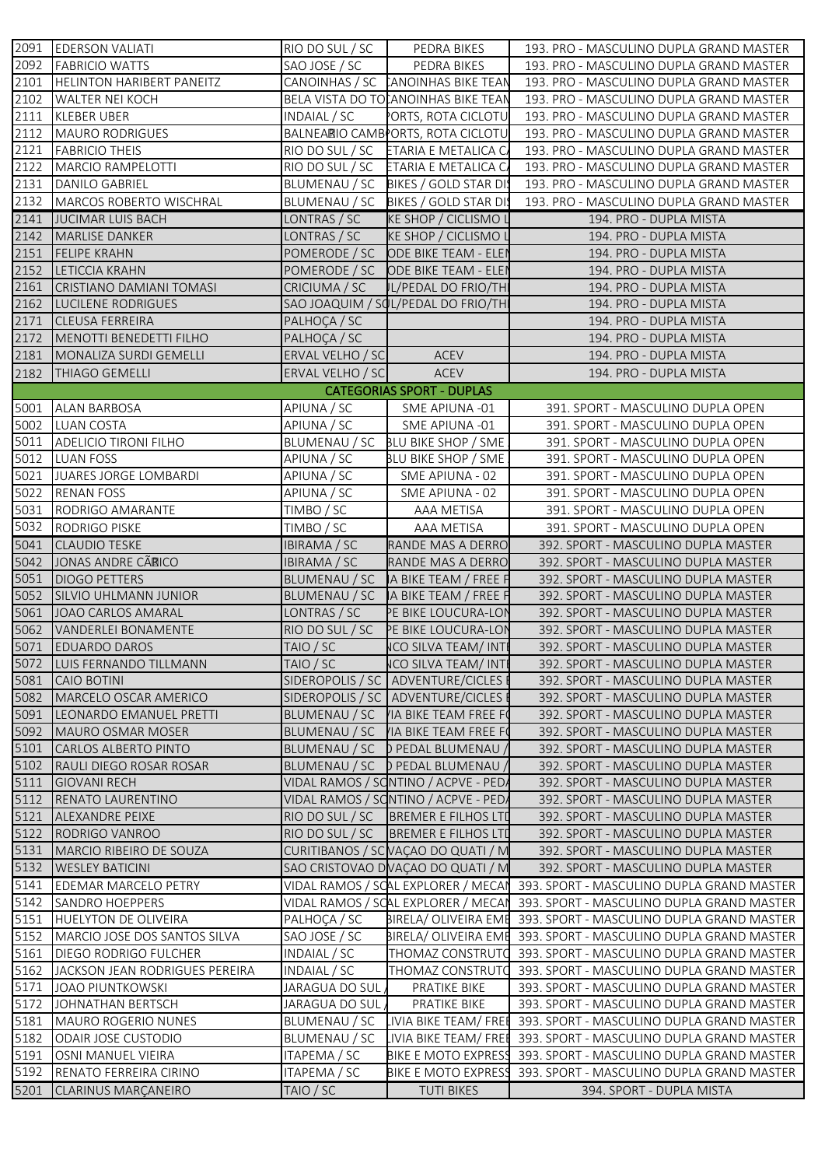|      | 2091 EDERSON VALIATI             | RIO DO SUL / SC  | PEDRA BIKES                                                  | 193. PRO - MASCULINO DUPLA GRAND MASTER   |
|------|----------------------------------|------------------|--------------------------------------------------------------|-------------------------------------------|
| 2092 | <b>FABRICIO WATTS</b>            | SAO JOSE / SC    | PEDRA BIKES                                                  | 193. PRO - MASCULINO DUPLA GRAND MASTER   |
| 2101 | <b>HELINTON HARIBERT PANEITZ</b> |                  | CANOINHAS / SC CANOINHAS BIKE TEAN                           | 193. PRO - MASCULINO DUPLA GRAND MASTER   |
| 2102 | <b>WALTER NEI KOCH</b>           |                  | BELA VISTA DO TO ANOINHAS BIKE TEAN                          | 193. PRO - MASCULINO DUPLA GRAND MASTER   |
| 2111 | <b>KLEBER UBER</b>               | INDAIAL / SC     | ORTS, ROTA CICLOTU                                           | 193. PRO - MASCULINO DUPLA GRAND MASTER   |
| 2112 | MAURO RODRIGUES                  |                  | BALNEARIO CAMB <sup>P</sup> ORTS, ROTA CICLOTU               | 193. PRO - MASCULINO DUPLA GRAND MASTER   |
| 2121 | <b>FABRICIO THEIS</b>            |                  | RIO DO SUL / SC ETARIA E METALICA C                          | 193. PRO - MASCULINO DUPLA GRAND MASTER   |
| 2122 | MARCIO RAMPELOTTI                |                  | RIO DO SUL / SC ETARIA E METALICA C                          | 193. PRO - MASCULINO DUPLA GRAND MASTER   |
| 2131 | DANILO GABRIEL                   |                  | BLUMENAU / SC BIKES / GOLD STAR DIS                          | 193. PRO - MASCULINO DUPLA GRAND MASTER   |
| 2132 | MARCOS ROBERTO WISCHRAL          |                  | BLUMENAU / SC BIKES / GOLD STAR DIS                          | 193. PRO - MASCULINO DUPLA GRAND MASTER   |
| 2141 | JUCIMAR LUIS BACH                | LONTRAS / SC     | <b>KE SHOP / CICLISMO L</b>                                  | 194. PRO - DUPLA MISTA                    |
| 2142 | <b>MARLISE DANKER</b>            | LONTRAS / SC     | <b>KE SHOP / CICLISMO L</b>                                  | 194. PRO - DUPLA MISTA                    |
| 2151 | <b>FELIPE KRAHN</b>              |                  | POMERODE / SC ODE BIKE TEAM - ELEN                           | 194. PRO - DUPLA MISTA                    |
| 2152 | <b>LETICCIA KRAHN</b>            |                  | POMERODE / SC ODE BIKE TEAM - ELEI                           | 194. PRO - DUPLA MISTA                    |
| 2161 | CRISTIANO DAMIANI TOMASI         | CRICIUMA / SC    | <b>IL/PEDAL DO FRIO/TH</b>                                   | 194. PRO - DUPLA MISTA                    |
| 2162 | LUCILENE RODRIGUES               |                  | SAO JOAQUIM / SOL/PEDAL DO FRIO/TH                           | 194. PRO - DUPLA MISTA                    |
| 2171 | <b>CLEUSA FERREIRA</b>           | PALHOÇA / SC     |                                                              | 194. PRO - DUPLA MISTA                    |
| 2172 | MENOTTI BENEDETTI FILHO          | PALHOÇA / SC     |                                                              | 194. PRO - DUPLA MISTA                    |
| 2181 | MONALIZA SURDI GEMELLI           | ERVAL VELHO / SC | <b>ACEV</b>                                                  | 194. PRO - DUPLA MISTA                    |
| 2182 | <b>THIAGO GEMELLI</b>            | ERVAL VELHO / SC | ACEV                                                         | 194. PRO - DUPLA MISTA                    |
|      |                                  |                  | <b>CATEGORIAS SPORT - DUPLAS</b>                             |                                           |
| 5001 | <b>ALAN BARBOSA</b>              | APIUNA / SC      | SME APIUNA -01                                               | 391. SPORT - MASCULINO DUPLA OPEN         |
|      | 5002 LUAN COSTA                  | APIUNA / SC      | SME APIUNA -01                                               | 391. SPORT - MASCULINO DUPLA OPEN         |
| 5011 | <b>ADELICIO TIRONI FILHO</b>     |                  | BLUMENAU / SC BLU BIKE SHOP / SME                            | 391. SPORT - MASCULINO DUPLA OPEN         |
| 5012 | <b>LUAN FOSS</b>                 | APIUNA / SC      | BLU BIKE SHOP / SME                                          | 391. SPORT - MASCULINO DUPLA OPEN         |
| 5021 | JUARES JORGE LOMBARDI            | APIUNA / SC      | SME APIUNA - 02                                              | 391. SPORT - MASCULINO DUPLA OPEN         |
| 5022 | <b>RENAN FOSS</b>                | APIUNA / SC      | SME APIUNA - 02                                              | 391. SPORT - MASCULINO DUPLA OPEN         |
| 5031 | RODRIGO AMARANTE                 | TIMBO / SC       | AAA METISA                                                   | 391. SPORT - MASCULINO DUPLA OPEN         |
| 5032 | RODRIGO PISKE                    | TIMBO / SC       | AAA METISA                                                   | 391. SPORT - MASCULINO DUPLA OPEN         |
| 5041 | <b>CLAUDIO TESKE</b>             | IBIRAMA / SC     | RANDE MAS A DERRO                                            | 392. SPORT - MASCULINO DUPLA MASTER       |
| 5042 | JONAS ANDRE CÃRICO               | IBIRAMA / SC     | RANDE MAS A DERRO                                            | 392. SPORT - MASCULINO DUPLA MASTER       |
| 5051 | <b>DIOGO PETTERS</b>             |                  | BLUMENAU / SC   A BIKE TEAM / FREE F                         | 392. SPORT - MASCULINO DUPLA MASTER       |
| 5052 | <b>SILVIO UHLMANN JUNIOR</b>     |                  | BLUMENAU / SC   A BIKE TEAM / FREE F                         | 392. SPORT - MASCULINO DUPLA MASTER       |
| 5061 | JOAO CARLOS AMARAL               | LONTRAS / SC     | PE BIKE LOUCURA-LON                                          | 392. SPORT - MASCULINO DUPLA MASTER       |
| 5062 | VANDERLEI BONAMENTE              | RIO DO SUL / SC  | PE BIKE LOUCURA-LON                                          | 392. SPORT - MASCULINO DUPLA MASTER       |
| 5071 | <b>EDUARDO DAROS</b>             | TAIO / SC        | <b>ICO SILVA TEAM/ INTI</b>                                  | 392. SPORT - MASCULINO DUPLA MASTER       |
|      | 5072 LUIS FERNANDO TILLMANN      | TAIO / SC        | <b>NCO SILVA TEAM/INTI</b>                                   | 392. SPORT - MASCULINO DUPLA MASTER       |
| 5081 | CAIO BOTINI                      |                  | SIDEROPOLIS / SC   ADVENTURE/CICLES                          | 392. SPORT - MASCULINO DUPLA MASTER       |
| 5082 | MARCELO OSCAR AMERICO            |                  |                                                              | 392. SPORT - MASCULINO DUPLA MASTER       |
| 5091 | LEONARDO EMANUEL PRETTI          | BLUMENAU / SC    | SIDEROPOLIS / SC   ADVENTURE/CICLES<br>VIA BIKE TEAM FREE FO | 392. SPORT - MASCULINO DUPLA MASTER       |
| 5092 | MAURO OSMAR MOSER                | BLUMENAU / SC    | IA BIKE TEAM FREE F                                          | 392. SPORT - MASCULINO DUPLA MASTER       |
| 5101 | CARLOS ALBERTO PINTO             | BLUMENAU / SC    | D PEDAL BLUMENAU                                             | 392. SPORT - MASCULINO DUPLA MASTER       |
| 5102 | <b>RAULI DIEGO ROSAR ROSAR</b>   |                  | BLUMENAU / SC D PEDAL BLUMENAU                               | 392. SPORT - MASCULINO DUPLA MASTER       |
| 5111 | <b>GIOVANI RECH</b>              |                  | VIDAL RAMOS / SONTINO / ACPVE - PEDA                         | 392. SPORT - MASCULINO DUPLA MASTER       |
| 5112 | RENATO LAURENTINO                |                  | VIDAL RAMOS / SONTINO / ACPVE - PEDA                         | 392. SPORT - MASCULINO DUPLA MASTER       |
| 5121 | <b>ALEXANDRE PEIXE</b>           | RIO DO SUL / SC  | <b>BREMER E FILHOS LTD</b>                                   | 392. SPORT - MASCULINO DUPLA MASTER       |
| 5122 | RODRIGO VANROO                   | RIO DO SUL / SC  | <b>BREMER E FILHOS LTD</b>                                   | 392. SPORT - MASCULINO DUPLA MASTER       |
| 5131 | MARCIO RIBEIRO DE SOUZA          |                  | CURITIBANOS / SCNAÇÃO DO QUATI / M                           | 392. SPORT - MASCULINO DUPLA MASTER       |
| 5132 |                                  |                  | SAO CRISTOVAO DVAÇÃO DO QUATI / M                            | 392. SPORT - MASCULINO DUPLA MASTER       |
| 5141 | <b>WESLEY BATICINI</b>           |                  |                                                              |                                           |
|      | <b>EDEMAR MARCELO PETRY</b>      |                  | VIDAL RAMOS / SOAL EXPLORER / MECAN                          | 393. SPORT - MASCULINO DUPLA GRAND MASTER |
| 5142 | <b>SANDRO HOEPPERS</b>           |                  | VIDAL RAMOS / SCAL EXPLORER / MECAI                          | 393. SPORT - MASCULINO DUPLA GRAND MASTER |
| 5151 | <b>HUELYTON DE OLIVEIRA</b>      | PALHOÇA / SC     | BIRELA/ OLIVEIRA EME                                         | 393. SPORT - MASCULINO DUPLA GRAND MASTER |
| 5152 | MARCIO JOSE DOS SANTOS SILVA     | SAO JOSE / SC    | BIRELA/ OLIVEIRA EME                                         | 393. SPORT - MASCULINO DUPLA GRAND MASTER |
| 5161 | <b>DIEGO RODRIGO FULCHER</b>     | INDAIAL / SC     | THOMAZ CONSTRUTO                                             | 393. SPORT - MASCULINO DUPLA GRAND MASTER |
| 5162 | JACKSON JEAN RODRIGUES PEREIRA   | INDAIAL / SC     | THOMAZ CONSTRUTO                                             | 393. SPORT - MASCULINO DUPLA GRAND MASTER |
| 5171 | JOAO PIUNTKOWSKI                 | JARAGUA DO SUL   | PRATIKE BIKE                                                 | 393. SPORT - MASCULINO DUPLA GRAND MASTER |
| 5172 | JOHNATHAN BERTSCH                | JARAGUA DO SUL   | PRATIKE BIKE                                                 | 393. SPORT - MASCULINO DUPLA GRAND MASTER |
| 5181 | <b>MAURO ROGERIO NUNES</b>       | BLUMENAU / SC    | IVIA BIKE TEAM/ FREI                                         | 393. SPORT - MASCULINO DUPLA GRAND MASTER |
| 5182 | <b>ODAIR JOSE CUSTODIO</b>       | BLUMENAU / SC    | LIVIA BIKE TEAM/ FREI                                        | 393. SPORT - MASCULINO DUPLA GRAND MASTER |
| 5191 | OSNI MANUEL VIEIRA               | ITAPEMA / SC     | BIKE E MOTO EXPRESS                                          | 393. SPORT - MASCULINO DUPLA GRAND MASTER |
| 5192 | RENATO FERREIRA CIRINO           | ITAPEMA / SC     | BIKE E MOTO EXPRESS                                          | 393. SPORT - MASCULINO DUPLA GRAND MASTER |
| 5201 | <b>CLARINUS MARÇANEIRO</b>       | TAIO / SC        | <b>TUTI BIKES</b>                                            | 394. SPORT - DUPLA MISTA                  |